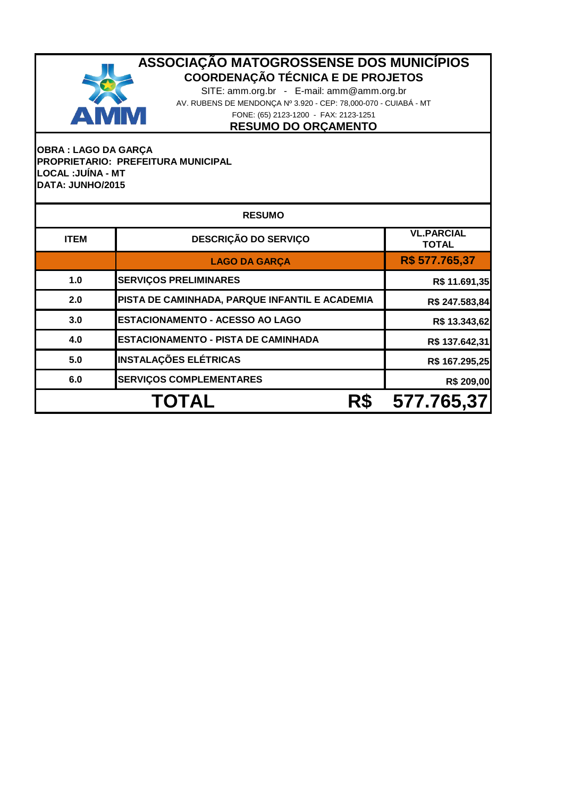

SITE: amm.org.br - E-mail: amm@amm.org.br AV. RUBENS DE MENDONÇA Nº 3.920 - CEP: 78,000-070 - CUIABÁ - MT FONE: (65) 2123-1200 - FAX: 2123-1251

**RESUMO DO ORÇAMENTO**

## **OBRA : LAGO DA GARÇA PROPRIETARIO: PREFEITURA MUNICIPAL LOCAL :JUÍNA - MT DATA: JUNHO/2015**

|             | <b>RESUMO</b>                                  |                                   |  |  |  |  |  |
|-------------|------------------------------------------------|-----------------------------------|--|--|--|--|--|
| <b>ITEM</b> | <b>DESCRIÇÃO DO SERVIÇO</b>                    | <b>VL.PARCIAL</b><br><b>TOTAL</b> |  |  |  |  |  |
|             | <b>LAGO DA GARÇA</b>                           | R\$ 577.765,37                    |  |  |  |  |  |
| 1.0         | <b>SERVIÇOS PRELIMINARES</b>                   | R\$ 11.691,35                     |  |  |  |  |  |
| 2.0         | PISTA DE CAMINHADA, PARQUE INFANTIL E ACADEMIA | R\$ 247.583,84                    |  |  |  |  |  |
| 3.0         | <b>ESTACIONAMENTO - ACESSO AO LAGO</b>         | R\$ 13.343,62                     |  |  |  |  |  |
| 4.0         | <b>ESTACIONAMENTO - PISTA DE CAMINHADA</b>     | R\$ 137.642,31                    |  |  |  |  |  |
| 5.0         | <b>INSTALAÇÕES ELÉTRICAS</b>                   | R\$ 167.295,25                    |  |  |  |  |  |
| 6.0         | <b>SERVIÇOS COMPLEMENTARES</b>                 | R\$ 209,00                        |  |  |  |  |  |
|             | <b>TOTAL</b><br>R\$                            | 577.765,37                        |  |  |  |  |  |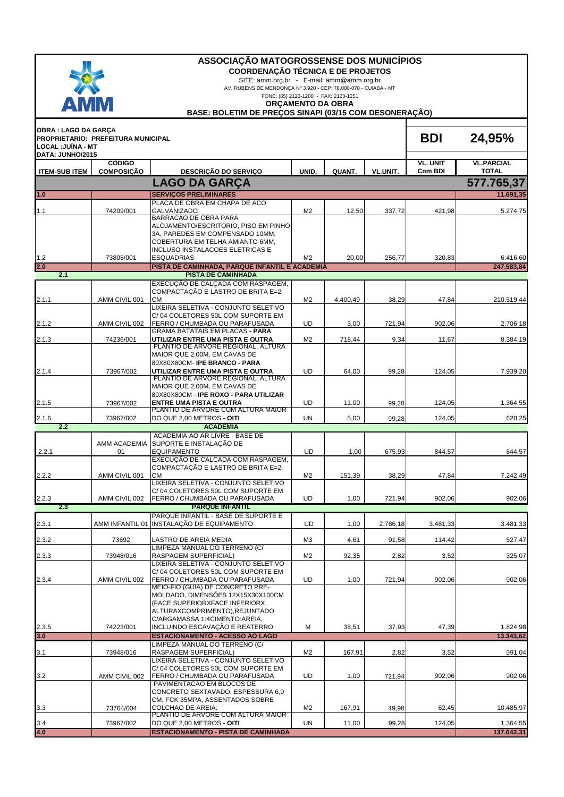| ASSOCIAÇÃO MATOGROSSENSE DOS MUNICÍPIOS<br><b>COORDENAÇÃO TÉCNICA E DE PROJETOS</b><br>SITE: amm.org.br - E-mail: amm@amm.org.br<br>AV. RUBENS DE MENDONÇA Nº 3.920 - CEP: 78,000-070 - CUIABÁ - MT<br>FONE: (65) 2123-1200 - FAX: 2123-1251<br><b>AMM</b><br><b>ORÇAMENTO DA OBRA</b><br>BASE: BOLETIM DE PREÇOS SINAPI (03/15 COM DESONERAÇÃO) |                                    |                                                                                                                                                      |                |          |          |                 |                            |
|--------------------------------------------------------------------------------------------------------------------------------------------------------------------------------------------------------------------------------------------------------------------------------------------------------------------------------------------------|------------------------------------|------------------------------------------------------------------------------------------------------------------------------------------------------|----------------|----------|----------|-----------------|----------------------------|
| <b>OBRA: LAGO DA GARÇA</b><br>LOCAL: JUÍNA - MT                                                                                                                                                                                                                                                                                                  | PROPRIETARIO: PREFEITURA MUNICIPAL |                                                                                                                                                      |                |          |          | <b>BDI</b>      | 24,95%                     |
| DATA: JUNHO/2015                                                                                                                                                                                                                                                                                                                                 | <b>CÓDIGO</b>                      |                                                                                                                                                      |                |          |          | <b>VL. UNIT</b> | <b>VL.PARCIAL</b>          |
| <b>ITEM-SUB ITEM</b>                                                                                                                                                                                                                                                                                                                             | <b>COMPOSIÇÃO</b>                  | DESCRIÇÃO DO SERVIÇO                                                                                                                                 | UNID.          | QUANT.   | VL.UNIT. | Com BDI         | <b>TOTAL</b><br>577.765,37 |
| 1.0                                                                                                                                                                                                                                                                                                                                              |                                    | <b>LAGO DA GARCA</b><br><b>SERVIÇOS PRELIMINARES</b>                                                                                                 |                |          |          |                 | 11.691,35                  |
|                                                                                                                                                                                                                                                                                                                                                  |                                    | PLACA DE OBRA EM CHAPA DE ACO                                                                                                                        |                |          |          |                 |                            |
| 1.1                                                                                                                                                                                                                                                                                                                                              | 74209/001                          | <b>GALVANIZADO</b><br>BARRACAO DE OBRA PARA                                                                                                          | M <sub>2</sub> | 12,50    | 337,72   | 421,98          | 5.274,75                   |
|                                                                                                                                                                                                                                                                                                                                                  |                                    | ALOJAMENTO/ESCRITORIO, PISO EM PINHO<br>3A, PAREDES EM COMPENSADO 10MM,<br>COBERTURA EM TELHA AMIANTO 6MM,<br><b>INCLUSO INSTALACOES ELETRICAS E</b> |                |          |          |                 |                            |
| $1.2$<br>2.0                                                                                                                                                                                                                                                                                                                                     | 73805/001                          | <b>ESQUADRIAS</b><br>PISTA DE CAMINHADA, PARQUE INFANTIL E ACADEMIA                                                                                  | M <sub>2</sub> | 20,00    | 256,77   | 320,83          | 6.416,60<br>247.583.84     |
| 2.1                                                                                                                                                                                                                                                                                                                                              |                                    | <b>PISTA DE CAMINHADA</b>                                                                                                                            |                |          |          |                 |                            |
|                                                                                                                                                                                                                                                                                                                                                  |                                    | EXECUÇÃO DE CALÇADA COM RASPAGEM,<br>COMPACTAÇÃO E LASTRO DE BRITA E=2                                                                               |                |          |          |                 |                            |
| 2.1.1                                                                                                                                                                                                                                                                                                                                            | AMM CIVIL 001                      | <b>CM</b>                                                                                                                                            | M <sub>2</sub> | 4.400,49 | 38,29    | 47,84           | 210.519,44                 |
|                                                                                                                                                                                                                                                                                                                                                  |                                    | LIXEIRA SELETIVA - CONJUNTO SELETIVO<br>C/04 COLETORES 50L COM SUPORTE EM                                                                            |                |          |          |                 |                            |
| 2.1.2                                                                                                                                                                                                                                                                                                                                            | AMM CIVIL 002                      | FERRO / CHUMBADA OU PARAFUSADA                                                                                                                       | UD             | 3,00     | 721,94   | 902,06          | 2.706,18                   |
|                                                                                                                                                                                                                                                                                                                                                  |                                    | <b>GRAMA BATATAIS EM PLACAS - PARA</b>                                                                                                               |                |          |          |                 |                            |
| 2.1.3                                                                                                                                                                                                                                                                                                                                            | 74236/001                          | UTILIZAR ENTRE UMA PISTA E OUTRA<br>PLANTIO DE ARVORE REGIONAL, ALTURA<br>MAIOR QUE 2,00M, EM CAVAS DE                                               | M <sub>2</sub> | 718,44   | 9,34     | 11,67           | 8.384,19                   |
| 2.1.4                                                                                                                                                                                                                                                                                                                                            | 73967/002                          | 80X80X80CM-IPE BRANCO - PARA<br>UTILIZAR ENTRE UMA PISTA E OUTRA                                                                                     | <b>UD</b>      | 64,00    | 99,28    | 124,05          | 7.939,20                   |
|                                                                                                                                                                                                                                                                                                                                                  |                                    | PLANTIO DE ARVORE REGIONAL, ALTURA                                                                                                                   |                |          |          |                 |                            |
|                                                                                                                                                                                                                                                                                                                                                  |                                    | MAIOR QUE 2,00M, EM CAVAS DE<br>80X80X80CM - IPE ROXO - PARA UTILIZAR                                                                                |                |          |          |                 |                            |
| 2.1.5                                                                                                                                                                                                                                                                                                                                            | 73967/002                          | <b>ENTRE UMA PISTA E OUTRA</b>                                                                                                                       | UD             | 11,00    | 99,28    | 124,05          | 1.364,55                   |
| 2.1.6                                                                                                                                                                                                                                                                                                                                            | 73967/002                          | PLANTIO DE ARVORE COM ALTURA MAIOR<br>DO QUE 2,00 METROS - OITI                                                                                      | UN             | 5,00     | 99,28    | 124,05          | 620,25                     |
| 2.2                                                                                                                                                                                                                                                                                                                                              |                                    | <b>ACADEMIA</b>                                                                                                                                      |                |          |          |                 |                            |
|                                                                                                                                                                                                                                                                                                                                                  | AMM ACADEMIA                       | ACADEMIA AO AR LIVRE - BASE DE<br>SUPORTE E INSTALAÇÃO DE                                                                                            |                |          |          |                 |                            |
| 2.2.1                                                                                                                                                                                                                                                                                                                                            | 01                                 | <b>EQUIPAMENTO</b>                                                                                                                                   | <b>UD</b>      | 1,00     | 675,93   | 844,57          | 844,57                     |
|                                                                                                                                                                                                                                                                                                                                                  |                                    | EXECUÇÃO DE CALÇADA COM RASPAGEM,<br>COMPACTAÇÃO E LASTRO DE BRITA E=2                                                                               |                |          |          |                 |                            |
| 2.2.2                                                                                                                                                                                                                                                                                                                                            | AMM CIVIL 001                      | <b>CM</b>                                                                                                                                            | M <sub>2</sub> | 151,39   | 38,29    | 47,84           | 7.242,49                   |
|                                                                                                                                                                                                                                                                                                                                                  |                                    | LIXEIRA SELETIVA - CONJUNTO SELETIVO<br>C/04 COLETORES 50L COM SUPORTE EM                                                                            |                |          |          |                 |                            |
| 2.2.3                                                                                                                                                                                                                                                                                                                                            | AMM CIVIL 002                      | FERRO / CHUMBADA OU PARAFUSADA                                                                                                                       | UD             | 1,00     | 721,94   | 902,06          | 902,06                     |
| 2.3                                                                                                                                                                                                                                                                                                                                              |                                    | <b>PARQUE INFANTIL</b>                                                                                                                               |                |          |          |                 |                            |
| 2.3.1                                                                                                                                                                                                                                                                                                                                            |                                    | PARQUE INFANTIL - BASE DE SUPORTE E<br>AMM INFANTIL 01 INSTALAÇÃO DE EQUIPAMENTO                                                                     | UD             | 1,00     | 2.786,18 | 3.481,33        | 3.481,33                   |
|                                                                                                                                                                                                                                                                                                                                                  |                                    |                                                                                                                                                      |                |          |          |                 |                            |
| 2.3.2                                                                                                                                                                                                                                                                                                                                            | 73692                              | LASTRO DE AREIA MEDIA<br>LIMPEZA MANUAL DO TERRENO (C/                                                                                               | M3             | 4,61     | 91,58    | 114,42          | 527,47                     |
| 2.3.3                                                                                                                                                                                                                                                                                                                                            | 73948/016                          | RASPAGEM SUPERFICIAL)                                                                                                                                | M <sub>2</sub> | 92,35    | 2,82     | 3,52            | 325,07                     |
|                                                                                                                                                                                                                                                                                                                                                  |                                    | LIXEIRA SELETIVA - CONJUNTO SELETIVO<br>C/04 COLETORES 50L COM SUPORTE EM                                                                            |                |          |          |                 |                            |
| 2.3.4                                                                                                                                                                                                                                                                                                                                            | AMM CIVIL 002                      | FERRO / CHUMBADA OU PARAFUSADA                                                                                                                       | UD             | 1,00     | 721,94   | 902,06          | 902,06                     |
|                                                                                                                                                                                                                                                                                                                                                  |                                    | MEIO-FIO (GUIA) DE CONCRETO PRE-<br>MOLDADO, DIMENSÕES 12X15X30X100CM                                                                                |                |          |          |                 |                            |
|                                                                                                                                                                                                                                                                                                                                                  |                                    | (FACE SUPERIORXFACE INFERIORX                                                                                                                        |                |          |          |                 |                            |
|                                                                                                                                                                                                                                                                                                                                                  |                                    | ALTURAXCOMPRIMENTO), REJUNTADO<br>C/ARGAMASSA 1:4CIMENTO:AREIA,                                                                                      |                |          |          |                 |                            |
| 2.3.5                                                                                                                                                                                                                                                                                                                                            | 74223/001                          | INCLUINDO ESCAVAÇÃO E REATERRO.                                                                                                                      | M              | 38,51    | 37,93    | 47,39           | 1.824,98                   |
| 3.0                                                                                                                                                                                                                                                                                                                                              |                                    | <b>ESTACIONAMENTO - ACESSO AO LAGO</b><br>LIMPEZA MANUAL DO TERRENO (C/                                                                              |                |          |          |                 | 13.343,62                  |
| 3.1                                                                                                                                                                                                                                                                                                                                              | 73948/016                          | RASPAGEM SUPERFICIAL)                                                                                                                                | M <sub>2</sub> | 167,91   | 2,82     | 3,52            | 591,04                     |
|                                                                                                                                                                                                                                                                                                                                                  |                                    | LIXEIRA SELETIVA - CONJUNTO SELETIVO<br>C/04 COLETORES 50L COM SUPORTE EM                                                                            |                |          |          |                 |                            |
| 3.2                                                                                                                                                                                                                                                                                                                                              | AMM CIVIL 002                      | FERRO / CHUMBADA OU PARAFUSADA                                                                                                                       | UD             | 1,00     | 721,94   | 902,06          | 902,06                     |
|                                                                                                                                                                                                                                                                                                                                                  |                                    | PAVIMENTACAO EM BLOCOS DE<br>CONCRETO SEXTAVADO, ESPESSURA 6,0                                                                                       |                |          |          |                 |                            |
|                                                                                                                                                                                                                                                                                                                                                  |                                    | CM, FCK 35MPA, ASSENTADOS SOBRE                                                                                                                      |                |          |          |                 |                            |
| 3.3                                                                                                                                                                                                                                                                                                                                              | 73764/004                          | COLCHAO DE AREIA.<br>PLANTIO DE ARVORE COM ALTURA MAIOR                                                                                              | M <sub>2</sub> | 167,91   | 49,98    | 62,45           | 10.485,97                  |
| 3.4                                                                                                                                                                                                                                                                                                                                              | 73967/002                          | DO QUE 2,00 METROS - OITI                                                                                                                            | UN             | 11,00    | 99,28    | 124,05          | 1.364,55                   |
| 4.0                                                                                                                                                                                                                                                                                                                                              |                                    | <b>ESTACIONAMENTO - PISTA DE CAMINHADA</b>                                                                                                           |                |          |          |                 | 137.642,31                 |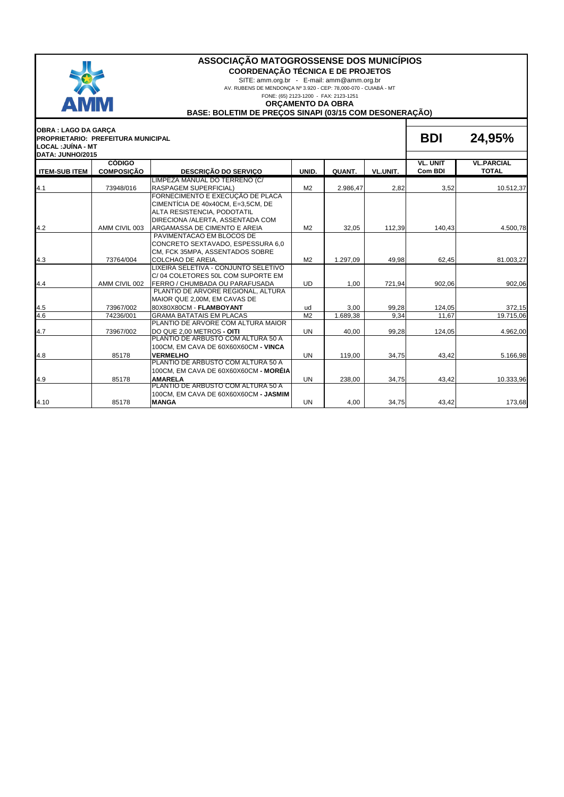

**COORDENAÇÃO TÉCNICA E DE PROJETOS**

SITE: amm.org.br - E-mail: amm@amm.org.br

AV. RUBENS DE MENDONÇA Nº 3.920 - CEP: 78,000-070 - CUIABÁ - MT

FONE: (65) 2123-1200 - FAX: 2123-1251

#### **ORÇAMENTO DA OBRA**

**BASE: BOLETIM DE PREÇOS SINAPI (03/15 COM DESONERAÇÃO)**

| <b>OBRA : LAGO DA GARCA</b><br>LOCAL : JUÍNA - MT | <b>PROPRIETARIO: PREFEITURA MUNICIPAL</b> |                                                                                                                                           |                |          |          | <b>BDI</b>                 | 24,95%                            |
|---------------------------------------------------|-------------------------------------------|-------------------------------------------------------------------------------------------------------------------------------------------|----------------|----------|----------|----------------------------|-----------------------------------|
| DATA: JUNHO/2015                                  |                                           |                                                                                                                                           |                |          |          |                            |                                   |
| <b>ITEM-SUB ITEM</b>                              | <b>CÓDIGO</b><br><b>COMPOSICÃO</b>        | <b>DESCRIÇÃO DO SERVIÇO</b>                                                                                                               | UNID.          | QUANT.   | VL.UNIT. | <b>VL. UNIT</b><br>Com BDI | <b>VL.PARCIAL</b><br><b>TOTAL</b> |
|                                                   |                                           | LIMPEZA MANUAL DO TERRENO (C/                                                                                                             |                |          |          |                            |                                   |
| 4.1                                               | 73948/016                                 | <b>RASPAGEM SUPERFICIAL)</b>                                                                                                              | M <sub>2</sub> | 2.986.47 | 2,82     | 3,52                       | 10.512,37                         |
|                                                   |                                           | FORNECIMENTO E EXECUÇÃO DE PLACA<br>CIMENTÍCIA DE 40x40CM, E=3.5CM, DE<br>ALTA RESISTENCIA, PODOTATIL<br>DIRECIONA /ALERTA, ASSENTADA COM |                |          |          |                            |                                   |
| 4.2                                               | AMM CIVIL 003                             | IARGAMASSA DE CIMENTO E AREIA                                                                                                             | M <sub>2</sub> | 32,05    | 112,39   | 140.43                     | 4.500,78                          |
|                                                   |                                           | PAVIMENTACAO EM BLOCOS DE<br>CONCRETO SEXTAVADO, ESPESSURA 6,0<br>CM, FCK 35MPA, ASSENTADOS SOBRE                                         |                |          |          |                            |                                   |
| 4.3                                               | 73764/004                                 | COLCHAO DE AREIA.                                                                                                                         | M <sub>2</sub> | 1.297,09 | 49.98    | 62,45                      | 81.003,27                         |
| 4.4                                               | AMM CIVIL 002                             | LIXEIRA SELETIVA - CONJUNTO SELETIVO<br>C/04 COLETORES 50L COM SUPORTE EM<br>FERRO / CHUMBADA OU PARAFUSADA                               | <b>UD</b>      | 1,00     | 721,94   | 902,06                     | 902,06                            |
|                                                   |                                           | PLANTIO DE ARVORE REGIONAL, ALTURA<br>MAIOR QUE 2,00M, EM CAVAS DE                                                                        |                |          |          |                            |                                   |
| 4.5                                               | 73967/002                                 | 80X80X80CM - FLAMBOYANT                                                                                                                   | ud             | 3,00     | 99,28    | 124,05                     | 372,15                            |
| 4.6                                               | 74236/001                                 | <b>GRAMA BATATAIS EM PLACAS</b><br>PLANTIO DE ARVORE COM ALTURA MAIOR                                                                     | M <sub>2</sub> | 1.689,38 | 9,34     | 11,67                      | 19.715,06                         |
| 4.7                                               | 73967/002                                 | DO QUE 2,00 METROS - OITI                                                                                                                 | <b>UN</b>      | 40.00    | 99.28    | 124,05                     | 4.962,00                          |
|                                                   |                                           | PLANTIO DE ARBUSTO COM ALTURA 50 A<br>100CM, EM CAVA DE 60X60X60CM - VINCA                                                                |                |          |          |                            |                                   |
| 4.8                                               | 85178                                     | <b>VERMELHO</b>                                                                                                                           | <b>UN</b>      | 119,00   | 34,75    | 43,42                      | 5.166,98                          |
|                                                   |                                           | PLANTIO DE ARBUSTO COM ALTURA 50 A<br>100CM, EM CAVA DE 60X60X60CM - MORÉIA                                                               |                |          |          |                            |                                   |
| 4.9                                               | 85178                                     | <b>AMARELA</b>                                                                                                                            | <b>UN</b>      | 238,00   | 34,75    | 43,42                      | 10.333,96                         |
| 4.10                                              | 85178                                     | PLANTIO DE ARBUSTO COM ALTURA 50 A<br>100CM, EM CAVA DE 60X60X60CM - JASMIM<br><b>MANGA</b>                                               | <b>UN</b>      | 4,00     | 34,75    | 43,42                      | 173,68                            |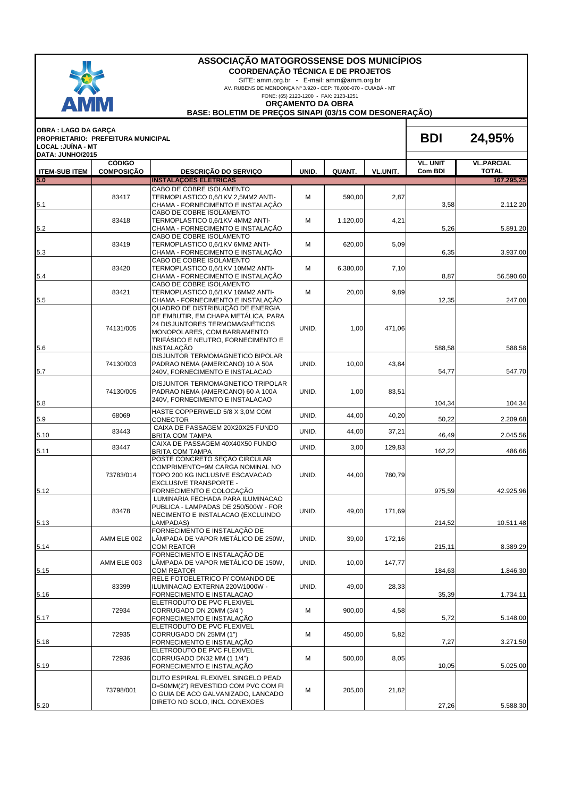

**COORDENAÇÃO TÉCNICA E DE PROJETOS**

SITE: amm.org.br - E-mail: amm@amm.org.br

AV. RUBENS DE MENDONÇA Nº 3.920 - CEP: 78,000-070 - CUIABÁ - MT

FONE: (65) 2123-1200 - FAX: 2123-1251

**ORÇAMENTO DA OBRA**

**BASE: BOLETIM DE PREÇOS SINAPI (03/15 COM DESONERAÇÃO)**

| OBRA : LAGO DA GARÇA<br>LOCAL :JUİNA - MT | PROPRIETARIO: PREFEITURA MUNICIPAL |                                                                                                                                                                                                      |       |          |          | <b>BDI</b>                 | 24,95%                            |
|-------------------------------------------|------------------------------------|------------------------------------------------------------------------------------------------------------------------------------------------------------------------------------------------------|-------|----------|----------|----------------------------|-----------------------------------|
| DATA: JUNHO/2015<br><b>ITEM-SUB ITEM</b>  | <b>CÓDIGO</b><br><b>COMPOSIÇÃO</b> | <b>DESCRIÇÃO DO SERVIÇO</b>                                                                                                                                                                          | UNID. | QUANT.   | VL.UNIT. | <b>VL. UNIT</b><br>Com BDI | <b>VL.PARCIAL</b><br><b>TOTAL</b> |
| 5.0                                       |                                    | <b>INSTALAÇÕES ELÉTRICAS</b>                                                                                                                                                                         |       |          |          |                            | 167.295,25                        |
| 5.1                                       | 83417                              | CABO DE COBRE ISOLAMENTO<br>TERMOPLASTICO 0,6/1KV 2,5MM2 ANTI-<br>CHAMA - FORNECIMENTO E INSTALAÇÃO                                                                                                  | м     | 590,00   | 2,87     | 3,58                       | 2.112,20                          |
| 5.2                                       | 83418                              | CABO DE COBRE ISOLAMENTO<br>TERMOPLASTICO 0,6/1KV 4MM2 ANTI-<br>CHAMA - FORNECIMENTO E INSTALAÇÃO                                                                                                    | м     | 1.120,00 | 4,21     | 5,26                       | 5.891,20                          |
| 5.3                                       | 83419                              | CABO DE COBRE ISOLAMENTO<br>TERMOPLASTICO 0,6/1KV 6MM2 ANTI-<br>CHAMA - FORNECIMENTO E INSTALAÇÃO                                                                                                    | M     | 620,00   | 5,09     | 6,35                       | 3.937,00                          |
| 5.4                                       | 83420                              | CABO DE COBRE ISOLAMENTO<br>TERMOPLASTICO 0,6/1KV 10MM2 ANTI-<br>CHAMA - FORNECIMENTO E INSTALAÇÃO                                                                                                   | M     | 6.380,00 | 7,10     | 8,87                       | 56.590,60                         |
| 5.5                                       | 83421                              | CABO DE COBRE ISOLAMENTO<br>TERMOPLASTICO 0,6/1KV 16MM2 ANTI-<br>CHAMA - FORNECIMENTO E INSTALAÇÃO                                                                                                   | M     | 20,00    | 9,89     | 12,35                      | 247,00                            |
| 5.6                                       | 74131/005                          | QUADRO DE DISTRIBUIÇÃO DE ENERGIA<br>DE EMBUTIR, EM CHAPA METÀLICA, PARA<br>24 DISJUNTORES TERMOMAGNÉTICOS<br>MONOPOLARES, COM BARRAMENTO<br>TRIFÁSICO E NEUTRO, FORNECIMENTO E<br><b>INSTALACÃO</b> | UNID. | 1,00     | 471,06   | 588,58                     | 588,58                            |
| 5.7                                       | 74130/003                          | DISJUNTOR TERMOMAGNETICO BIPOLAR<br>PADRAO NEMA (AMERICANO) 10 A 50A<br>240V, FORNECIMENTO E INSTALACAO                                                                                              | UNID. | 10,00    | 43,84    | 54,77                      | 547,70                            |
| 5.8                                       | 74130/005                          | DISJUNTOR TERMOMAGNETICO TRIPOLAR<br>PADRAO NEMA (AMERICANO) 60 A 100A<br>240V, FORNECIMENTO E INSTALACAO                                                                                            | UNID. | 1,00     | 83,51    | 104,34                     | 104,34                            |
| 5.9                                       | 68069                              | HASTE COPPERWELD 5/8 X 3,0M COM<br>CONECTOR                                                                                                                                                          | UNID. | 44,00    | 40,20    | 50,22                      | 2.209,68                          |
| 5.10                                      | 83443                              | CAIXA DE PASSAGEM 20X20X25 FUNDO<br><b>BRITA COM TAMPA</b>                                                                                                                                           | UNID. | 44,00    | 37,21    | 46,49                      | 2.045,56                          |
| 5.11                                      | 83447                              | CAIXA DE PASSAGEM 40X40X50 FUNDO<br><b>BRITA COM TAMPA</b>                                                                                                                                           | UNID. | 3,00     | 129,83   | 162,22                     | 486,66                            |
| 5.12                                      | 73783/014                          | POSTE CONCRETO SEÇÃO CIRCULAR<br>COMPRIMENTO=9M CARGA NOMINAL NO<br>TOPO 200 KG INCLUSIVE ESCAVACAO<br><b>EXCLUSIVE TRANSPORTE -</b><br>FORNECIMENTO E COLOCAÇÃO                                     | UNID. | 44,00    | 780,79   | 975,59                     | 42.925,96                         |
| 5.13                                      | 83478                              | LUMINARIA FECHADA PARA ILUMINACAO<br>PUBLICA - LAMPADAS DE 250/500W - FOR<br>NECIMENTO E INSTALACAO (EXCLUINDO<br>LAMPADAS)                                                                          | UNID. | 49,00    | 171,69   | 214,52                     | 10.511,48                         |
| 5.14                                      | AMM ELE 002                        | FORNECIMENTO E INSTALACÃO DE<br>LÂMPADA DE VAPOR METÁLICO DE 250W,<br><b>COM REATOR</b>                                                                                                              | UNID. | 39,00    | 172,16   | 215,11                     | 8.389,29                          |
| 5.15                                      | AMM ELE 003                        | FORNECIMENTO E INSTALAÇÃO DE<br>LÂMPADA DE VAPOR METÁLICO DE 150W,<br><b>COM REATOR</b>                                                                                                              | UNID. | 10,00    | 147,77   | 184,63                     | 1.846,30                          |
| 5.16                                      | 83399                              | RELE FOTOELETRICO P/ COMANDO DE<br>ILUMINACAO EXTERNA 220V/1000W -<br>FORNECIMENTO E INSTALACAO                                                                                                      | UNID. | 49,00    | 28,33    | 35,39                      | 1.734,11                          |
| 5.17                                      | 72934                              | ELETRODUTO DE PVC FLEXIVEL<br>CORRUGADO DN 20MM (3/4")<br>FORNECIMENTO E INSTALAÇÃO                                                                                                                  | M     | 900.00   | 4,58     | 5,72                       | 5.148,00                          |
| 5.18                                      | 72935                              | ELETRODUTO DE PVC FLEXIVEL<br>CORRUGADO DN 25MM (1")<br>FORNECIMENTO E INSTALAÇÃO                                                                                                                    | M     | 450,00   | 5,82     | 7,27                       | 3.271,50                          |
| 5.19                                      | 72936                              | ELETRODUTO DE PVC FLEXIVEL<br>CORRUGADO DN32 MM (1 1/4")<br>FORNECIMENTO E INSTALAÇÃO                                                                                                                | M     | 500,00   | 8,05     | 10,05                      | 5.025,00                          |
| 5.20                                      | 73798/001                          | DUTO ESPIRAL FLEXIVEL SINGELO PEAD<br>D=50MM(2") REVESTIDO COM PVC COM FI<br>O GUIA DE ACO GALVANIZADO, LANCADO<br>DIRETO NO SOLO, INCL CONEXOES                                                     | M     | 205,00   | 21,82    | 27,26                      | 5.588,30                          |
|                                           |                                    |                                                                                                                                                                                                      |       |          |          |                            |                                   |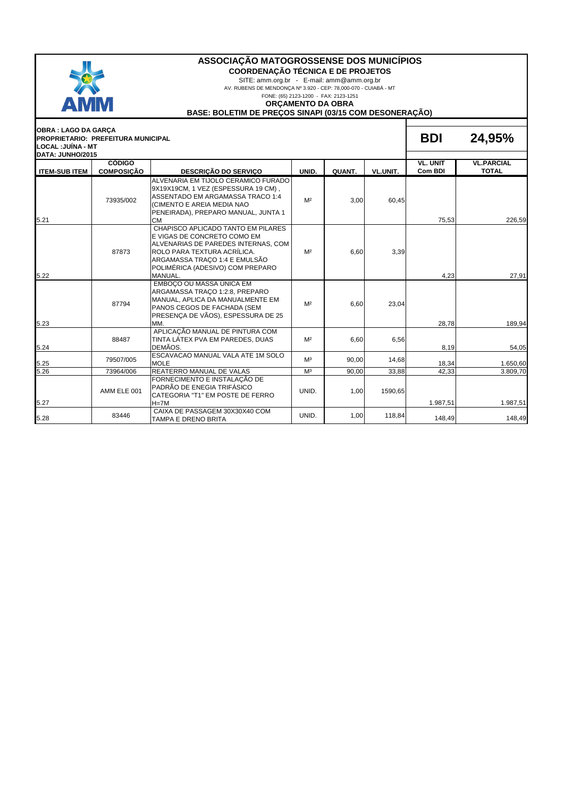

**COORDENAÇÃO TÉCNICA E DE PROJETOS**

SITE: amm.org.br - E-mail: amm@amm.org.br

AV. RUBENS DE MENDONÇA Nº 3.920 - CEP: 78,000-070 - CUIABÁ - MT

FONE: (65) 2123-1200 - FAX: 2123-1251

#### **ORÇAMENTO DA OBRA**

**BASE: BOLETIM DE PREÇOS SINAPI (03/15 COM DESONERAÇÃO)**

| <b>OBRA: LAGO DA GARÇA</b> | <b>PROPRIETARIO: PREFEITURA MUNICIPAL</b> |                                                                                                                                                                                                                         |                |        |          | <b>BDI</b>          | 24,95%                            |
|----------------------------|-------------------------------------------|-------------------------------------------------------------------------------------------------------------------------------------------------------------------------------------------------------------------------|----------------|--------|----------|---------------------|-----------------------------------|
| LOCAL :JUÍNA - MT          |                                           |                                                                                                                                                                                                                         |                |        |          |                     |                                   |
| DATA: JUNHO/2015           |                                           |                                                                                                                                                                                                                         |                |        |          |                     |                                   |
| <b>ITEM-SUBITEM</b>        | <b>CÓDIGO</b><br><b>COMPOSIÇÃO</b>        | <b>DESCRIÇÃO DO SERVIÇO</b>                                                                                                                                                                                             | UNID.          | QUANT. | VL.UNIT. | VL. UNIT<br>Com BDI | <b>VL.PARCIAL</b><br><b>TOTAL</b> |
| 5.21                       | 73935/002                                 | ALVENARIA EM TIJOLO CERAMICO FURADO<br>9X19X19CM, 1 VEZ (ESPESSURA 19 CM),<br>ASSENTADO EM ARGAMASSA TRACO 1:4<br>(CIMENTO E AREIA MEDIA NAO<br>PENEIRADA), PREPARO MANUAL, JUNTA 1<br><b>CM</b>                        | M <sup>2</sup> | 3,00   | 60,45    | 75,53               | 226.59                            |
| 5.22                       | 87873                                     | CHAPISCO APLICADO TANTO EM PILARES<br>E VIGAS DE CONCRETO COMO EM<br>ALVENARIAS DE PAREDES INTERNAS, COM<br>ROLO PARA TEXTURA ACRÍLICA.<br>ARGAMASSA TRACO 1:4 E EMULSÃO<br>POLIMÉRICA (ADESIVO) COM PREPARO<br>MANUAL. | M <sup>2</sup> | 6,60   | 3,39     | 4,23                | 27,91                             |
| 5.23                       | 87794                                     | EMBOCO OU MASSA ÚNICA EM<br>ARGAMASSA TRACO 1:2:8, PREPARO<br>MANUAL, APLICA DA MANUALMENTE EM<br>PANOS CEGOS DE FACHADA (SEM<br>PRESENCA DE VÃOS), ESPESSURA DE 25<br>MM.                                              | M <sup>2</sup> | 6,60   | 23,04    | 28,78               | 189,94                            |
| 5.24                       | 88487                                     | APLICAÇÃO MANUAL DE PINTURA COM<br>TINTA LÁTEX PVA EM PAREDES, DUAS<br>DEMÃOS.                                                                                                                                          | M <sup>2</sup> | 6,60   | 6,56     | 8,19                | 54,05                             |
| 5.25                       | 79507/005                                 | ESCAVACAO MANUAL VALA ATE 1M SOLO<br><b>MOLE</b>                                                                                                                                                                        | M <sup>3</sup> | 90,00  | 14,68    | 18,34               | 1.650,60                          |
| 5.26                       | 73964/006                                 | REATERRO MANUAL DE VALAS                                                                                                                                                                                                | M <sup>3</sup> | 90.00  | 33,88    | 42,33               | 3.809.70                          |
| 5.27                       | AMM ELE 001                               | FORNECIMENTO E INSTALAÇÃO DE<br>PADRÃO DE ENEGIA TRIFÁSICO<br>CATEGORIA "T1" EM POSTE DE FERRO<br>$H = 7M$                                                                                                              | UNID.          | 1,00   | 1590,65  | 1.987,51            | 1.987,51                          |
| 5.28                       | 83446                                     | CAIXA DE PASSAGEM 30X30X40 COM<br>TAMPA E DRENO BRITA                                                                                                                                                                   | UNID.          | 1,00   | 118,84   | 148,49              | 148,49                            |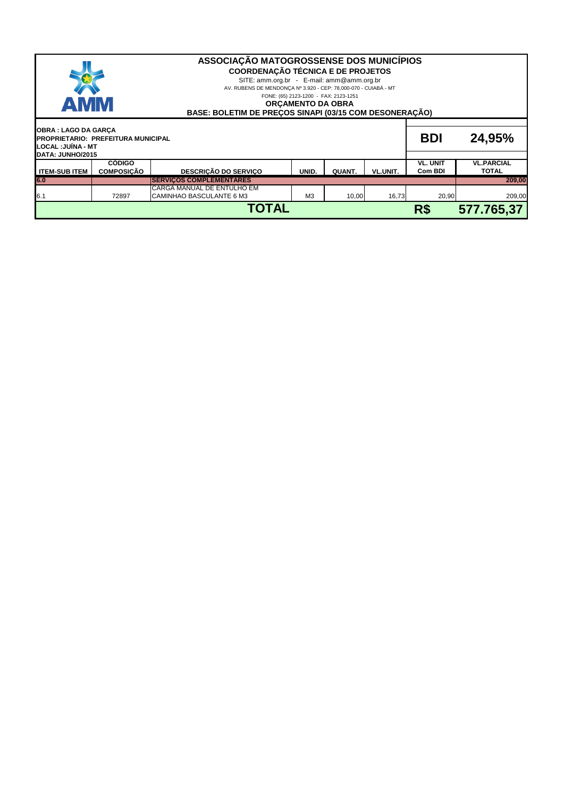| ASSOCIAÇÃO MATOGROSSENSE DOS MUNICÍPIOS<br><b>COORDENAÇÃO TÉCNICA E DE PROJETOS</b><br>SITE: amm.org.br - E-mail: amm@amm.org.br<br>AV. RUBENS DE MENDONÇA Nº 3.920 - CEP: 78,000-070 - CUIABÁ - MT<br>FONE: (65) 2123-1200 - FAX: 2123-1251<br><b>AMM</b><br><b>ORCAMENTO DA OBRA</b><br>BASE: BOLETIM DE PRECOS SINAPI (03/15 COM DESONERAÇÃO) |                                    |                                                        |                |        |                 |                            |                                   |
|--------------------------------------------------------------------------------------------------------------------------------------------------------------------------------------------------------------------------------------------------------------------------------------------------------------------------------------------------|------------------------------------|--------------------------------------------------------|----------------|--------|-----------------|----------------------------|-----------------------------------|
| <b>OBRA: LAGO DA GARÇA</b><br><b>BDI</b><br><b>PROPRIETARIO: PREFEITURA MUNICIPAL</b><br>LOCAL :JUÍNA - MT                                                                                                                                                                                                                                       |                                    |                                                        |                |        |                 |                            | 24,95%                            |
| DATA: JUNHO/2015<br><b>ITEM-SUB ITEM</b>                                                                                                                                                                                                                                                                                                         | <b>CÓDIGO</b><br><b>COMPOSICÃO</b> | <b>DESCRIÇÃO DO SERVIÇO</b>                            | UNID.          | QUANT. | <b>VL.UNIT.</b> | <b>VL. UNIT</b><br>Com BDI | <b>VL.PARCIAL</b><br><b>TOTAL</b> |
| 6.0                                                                                                                                                                                                                                                                                                                                              |                                    | <b>SERVICOS COMPLEMENTARES</b>                         |                |        |                 |                            | 209,00                            |
| 6.1                                                                                                                                                                                                                                                                                                                                              | 72897                              | CARGA MANUAL DE ENTULHO EM<br>CAMINHAO BASCULANTE 6 M3 | M <sub>3</sub> | 10,00  | 16,73           | 20,90                      | 209,00                            |
|                                                                                                                                                                                                                                                                                                                                                  |                                    | <b>TOTAL</b>                                           |                |        |                 | R\$                        | 577.765,37                        |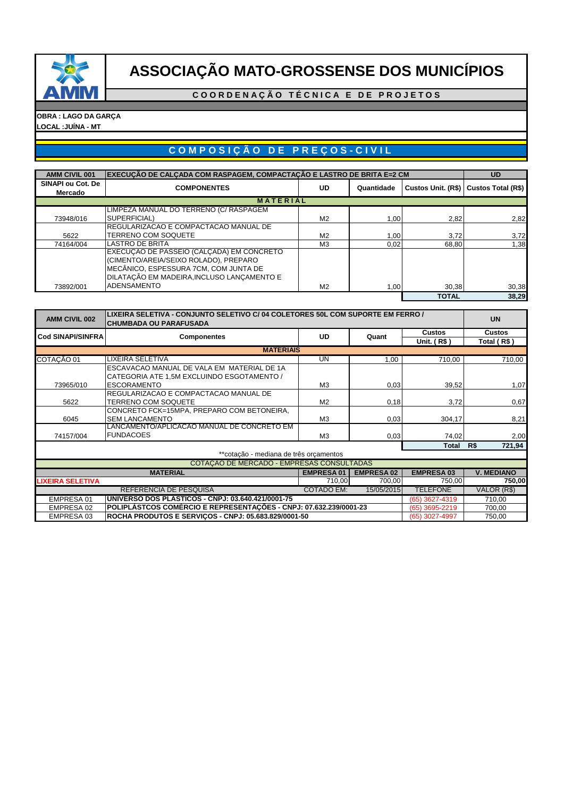

**C O O R D E N A Ç Ã O T É C N I C A E D E P R O J E T O S**

**OBRA : LAGO DA GARÇA LOCAL :JUÍNA - MT**

# **C O M P O S I Ç Ã O D E P R E Ç O S - C I V I L**

| <b>AMM CIVIL 001</b> | ∣EXECUCÃO DE CALCADA COM RASPAGEM, COMPACTACÃO E LASTRO DE BRITA E=2 CM |                |            |              | <b>UD</b>                               |
|----------------------|-------------------------------------------------------------------------|----------------|------------|--------------|-----------------------------------------|
| SINAPI ou Cot. De    | <b>COMPONENTES</b>                                                      | <b>UD</b>      | Quantidade |              | Custos Unit. (R\$)   Custos Total (R\$) |
| Mercado              |                                                                         |                |            |              |                                         |
|                      | <b>MATERIAL</b>                                                         |                |            |              |                                         |
|                      | LIMPEZA MANUAL DO TERRENO (C/ RASPAGEM                                  |                |            |              |                                         |
| 73948/016            | SUPERFICIAL)                                                            | M <sub>2</sub> | 1,00       | 2,82         | 2,82                                    |
|                      | REGULARIZACAO E COMPACTACAO MANUAL DE                                   |                |            |              |                                         |
| 5622                 | <b>TERRENO COM SOQUETE</b>                                              | M <sub>2</sub> | 1,00       | 3.72         | 3,72                                    |
| 74164/004            | <b>LASTRO DE BRITA</b>                                                  | M <sub>3</sub> | 0,02       | 68.80        | 1.38                                    |
|                      | EXECUÇÃO DE PASSEIO (CALÇADA) EM CONCRETO                               |                |            |              |                                         |
|                      | (CIMENTO/AREIA/SEIXO ROLADO), PREPARO                                   |                |            |              |                                         |
|                      | MECÂNICO, ESPESSURA 7CM, COM JUNTA DE                                   |                |            |              |                                         |
|                      | DILATAÇÃO EM MADEIRA, INCLUSO LANÇAMENTO E                              |                |            |              |                                         |
| 73892/001            | <b>ADENSAMENTO</b>                                                      | M <sub>2</sub> | 1,00       | 30,38        | 30,38                                   |
|                      |                                                                         |                |            | <b>TOTAL</b> | 38.29                                   |

| <b>AMM CIVIL 002</b>     | LIXEIRA SELETIVA - CONJUNTO SELETIVO C/ 04 COLETORES 50L COM SUPORTE EM FERRO /<br> CHUMBADA OU PARAFUSADA | <b>UN</b>         |                   |                  |                   |
|--------------------------|------------------------------------------------------------------------------------------------------------|-------------------|-------------------|------------------|-------------------|
| <b>Cod SINAPI/SINFRA</b> | <b>Componentes</b>                                                                                         | <b>UD</b>         | Quant             | <b>Custos</b>    | <b>Custos</b>     |
|                          |                                                                                                            |                   |                   | Unit. (R\$)      | Total (R\$)       |
|                          | <b>MATERIAIS</b>                                                                                           |                   |                   |                  |                   |
| COTAÇÃO 01               | LIXEIRA SELETIVA                                                                                           | UN                | 1,00              | 710,00           | 710,00            |
|                          | ESCAVACAO MANUAL DE VALA EM MATERIAL DE 1A                                                                 |                   |                   |                  |                   |
|                          | CATEGORIA ATE 1,5M EXCLUINDO ESGOTAMENTO /                                                                 |                   |                   |                  |                   |
| 73965/010                | <b>ESCORAMENTO</b>                                                                                         | M <sub>3</sub>    | 0,03              | 39,52            | 1,07              |
|                          | REGULARIZACAO E COMPACTACAO MANUAL DE                                                                      |                   |                   |                  |                   |
| 5622                     | <b>TERRENO COM SOQUETE</b>                                                                                 | M <sub>2</sub>    | 0,18              | 3,72             | 0,67              |
|                          | CONCRETO FCK=15MPA, PREPARO COM BETONEIRA,                                                                 |                   |                   |                  |                   |
| 6045                     | <b>SEM LANCAMENTO</b>                                                                                      | M <sub>3</sub>    | 0,03              | 304,17           | 8,21              |
|                          | LANCAMENTO/APLICACAO MANUAL DE CONCRETO EM                                                                 |                   |                   |                  |                   |
| 74157/004                | <b>FUNDACOES</b>                                                                                           | M <sub>3</sub>    | 0,03              | 74,02            | 2,00              |
|                          |                                                                                                            |                   |                   | Total            | 721,94<br>R\$     |
|                          | **cotação - mediana de três orcamentos                                                                     |                   |                   |                  |                   |
|                          | COTAÇÃO DE MERCADO - EMPRESAS CONSULTADAS                                                                  |                   |                   |                  |                   |
|                          | <b>MATERIAL</b>                                                                                            | <b>EMPRESA01</b>  | <b>EMPRESA 02</b> | <b>EMPRESA03</b> | <b>V. MEDIANO</b> |
| <b>LIXEIRA SELETIVA</b>  |                                                                                                            | 710,00            | 700,00            | 750,00           | 750,00            |
|                          | REFERÊNCIA DE PESQUISA                                                                                     | <b>COTADO EM:</b> | 15/05/2015        | <b>TELEFONE</b>  | VALOR (R\$)       |
| EMPRESA 01               | UNIVERSO DOS PLASTICOS - CNPJ: 03.640.421/0001-75                                                          |                   |                   | (65) 3627-4319   | 710,00            |
| EMPRESA 02               | POLIPLÁSTCOS COMÉRCIO E REPRESENTACÕES - CNPJ: 07.632.239/0001-23                                          |                   |                   | (65) 3695-2219   | 700,00            |
| EMPRESA 03               | ROCHA PRODUTOS E SERVIÇOS - CNPJ: 05.683.829/0001-50                                                       |                   |                   | (65) 3027-4997   | 750,00            |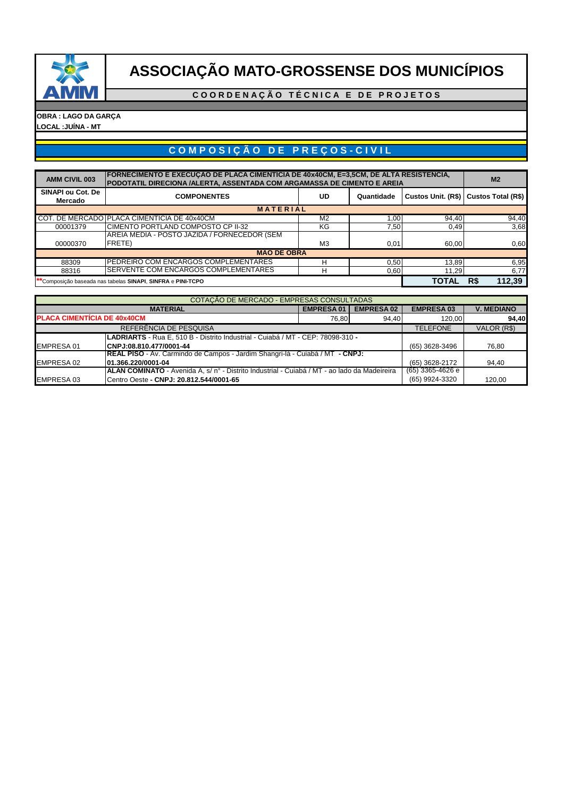

**C O O R D E N A Ç Ã O T É C N I C A E D E P R O J E T O S**

#### **OBRA : LAGO DA GARÇA LOCAL :JUÍNA - MT**

# **C O M P O S I Ç Ã O D E P R E Ç O S - C I V I L**

| <b>AMM CIVIL 003</b>                                        | FORNECIMENTO E EXECUÇÃO DE PLACA CIMENTICIA DE 40x40CM, E=3,5CM, DE ALTA RESISTENCIA,<br>PODOTATIL DIRECIONA /ALERTA, ASSENTADA COM ARGAMASSA DE CIMENTO E AREIA |                |            |       |                                         |  |  |  |  |
|-------------------------------------------------------------|------------------------------------------------------------------------------------------------------------------------------------------------------------------|----------------|------------|-------|-----------------------------------------|--|--|--|--|
| SINAPI ou Cot. De<br>Mercado                                | <b>COMPONENTES</b>                                                                                                                                               | UD             | Quantidade |       | Custos Unit. (R\$)   Custos Total (R\$) |  |  |  |  |
| <b>MATERIAL</b>                                             |                                                                                                                                                                  |                |            |       |                                         |  |  |  |  |
|                                                             | COT. DE MERCADO PLACA CIMENTICIA DE 40x40CM                                                                                                                      | M <sub>2</sub> | 1.00       | 94,40 | 94,40                                   |  |  |  |  |
| 00001379                                                    | CIMENTO PORTLAND COMPOSTO CP II-32                                                                                                                               | KG             | 7,50       | 0,49  | 3,68                                    |  |  |  |  |
|                                                             | AREIA MEDIA - POSTO JAZIDA / FORNECEDOR (SEM                                                                                                                     |                |            |       |                                         |  |  |  |  |
| 00000370                                                    | <b>FRETE</b> )                                                                                                                                                   | M <sub>3</sub> | 0,01       | 60,00 | 0,60                                    |  |  |  |  |
|                                                             | <b>MÃO DE OBRA</b>                                                                                                                                               |                |            |       |                                         |  |  |  |  |
| 88309                                                       | PEDREIRO COM ENCARGOS COMPLEMENTARES                                                                                                                             | н              | 0,50       | 13,89 | 6,95                                    |  |  |  |  |
| 88316                                                       | SERVENTE COM ENCARGOS COMPLEMENTARES                                                                                                                             | н              | 0,60       | 11,29 | 6,77                                    |  |  |  |  |
| **Composição baseada nas tabelas SINAPI, SINFRA e PINI-TCPO |                                                                                                                                                                  |                |            |       | R\$<br>112,39                           |  |  |  |  |

|                                                                                 | COTAÇÃO DE MERCADO - EMPRESAS CONSULTADAS                                                           |                  |                   |                    |                   |  |
|---------------------------------------------------------------------------------|-----------------------------------------------------------------------------------------------------|------------------|-------------------|--------------------|-------------------|--|
|                                                                                 | <b>MATERIAL</b>                                                                                     | <b>EMPRESA01</b> | <b>EMPRESA 02</b> | <b>EMPRESA 03</b>  | <b>V. MEDIANO</b> |  |
| <b>PLACA CIMENTÍCIA DE 40x40CM</b>                                              |                                                                                                     | 76,80            | 94,40             | 120.00             | 94,40             |  |
|                                                                                 | REFERÊNCIA DE PESQUISA                                                                              |                  |                   | <b>TELEFONE</b>    | VALOR (R\$)       |  |
| LADRIARTS - Rua E, 510 B - Distrito Industrial - Cuiabá / MT - CEP: 78098-310 - |                                                                                                     |                  |                   |                    |                   |  |
| <b>EMPRESA 01</b>                                                               | CNPJ:08.810.477/0001-44                                                                             |                  |                   | (65) 3628-3496     | 76.80             |  |
|                                                                                 | REAL PISO - Av. Carmindo de Campos - Jardim Shangri-lá - Cuiabá / MT - CNPJ:                        |                  |                   |                    |                   |  |
| EMPRESA 02                                                                      | 01.366.220/0001-04                                                                                  |                  |                   | (65) 3628-2172     | 94.40             |  |
|                                                                                 | <b>ALAN COMINATO</b> - Avenida A, s/ n° - Distrito Industrial - Cuiabá / MT - ao lado da Madeireira |                  |                   | $(65)$ 3365-4626 e |                   |  |
| EMPRESA 03                                                                      | Centro Oeste - CNPJ: 20.812.544/0001-65                                                             |                  |                   | (65) 9924-3320     | 120.00            |  |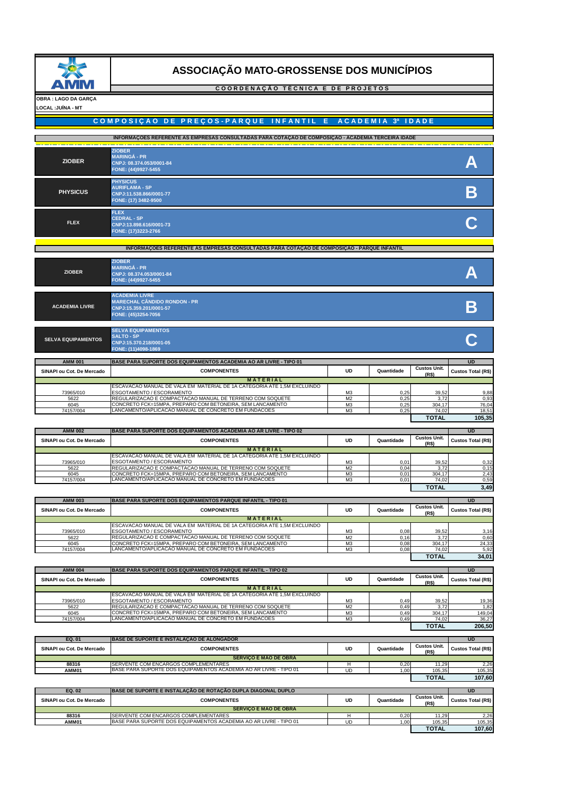

#### **C O O R D E N A Ç Ã O T É C N I C A E D E P R O J E T O S**

#### **OBRA : LAGO DA GARÇA LOCAL :JUÍNA - MT**

## **COMPOSIÇÃO DE PREÇOS-PARQUE INFANTIL E ACADEMIA 3ª IDADE**

|                 | INFORMAÇÕES REFERENTE AS EMPRESAS CONSULTADAS PARA COTAÇÃO DE COMPOSIÇÃO - ACADEMIA TERCEIRA IDADE |  |
|-----------------|----------------------------------------------------------------------------------------------------|--|
| <b>ZIOBER</b>   | <b>ZIOBER</b><br><b>MARINGÁ - PR</b><br>CNPJ: 08.374.053/0001-84<br>FONE: (44)9927-5455            |  |
| <b>PHYSICUS</b> | <b>PHYSICUS</b><br><b>AURIFLAMA - SP</b><br>CNPJ:11.538.866/0001-77<br>FONE: (17) 3482-9500        |  |
| <b>FLEX</b>     | <b>FLEX</b><br><b>CEDRAL-SP</b><br>CNPJ:13.898.616/0001-73<br>FONE: (17)3223-2766                  |  |

#### **INFORMAÇÕES REFERENTE AS EMPRESAS CONSULTADAS PARA COTAÇÃO DE COMPOSIÇÃO - PARQUE INFANTIL**

| <b>ZIOBER</b>             | <b>ZIOBER</b><br><b>MARINGÁ - PR</b><br>CNPJ: 08.374.053/0001-84<br>FONE: (44)9927-5455                        |  |
|---------------------------|----------------------------------------------------------------------------------------------------------------|--|
| <b>ACADEMIA LIVRE</b>     | <b>ACADEMIA LIVRE</b><br><b>MARECHAL CÂNDIDO RONDON - PR</b><br>CNPJ:15.359.201/0001-57<br>FONE: (45)3254-7056 |  |
| <b>SELVA EQUIPAMENTOS</b> | <b>SELVA EQUIPAMENTOS</b><br><b>SALTO - SP</b><br>CNPJ:15.370.218/0001-05<br>FONE: (11)4098-1869               |  |

| <b>AMM 001</b>            | <b>BASE PARA SUPORTE DOS EQUIPAMENTOS ACADEMIA AO AR LIVRE - TIPO 01</b> |                |            |                              | <b>UD</b>                 |
|---------------------------|--------------------------------------------------------------------------|----------------|------------|------------------------------|---------------------------|
| SINAPI ou Cot. De Mercado | <b>COMPONENTES</b>                                                       | UD             | Quantidade | <b>Custos Unit.</b><br>(R\$) | <b>Custos Total (R\$)</b> |
|                           | <b>MATERIAL</b>                                                          |                |            |                              |                           |
|                           | ESCAVACAO MANUAL DE VALA EM MATERIAL DE 1A CATEGORIA ATE 1,5M EXCLUINDO  |                |            |                              |                           |
| 73965/010                 | ESGOTAMENTO / ESCORAMENTO                                                | M <sub>3</sub> | 0,25       | 39,52                        | 9,88                      |
| 5622                      | REGULARIZACAO E COMPACTACAO MANUAL DE TERRENO COM SOQUETE                | M <sub>2</sub> | 0,25       | 3,72                         | 0,93                      |
| 6045                      | ICONCRETO FCK=15MPA. PREPARO COM BETONEIRA. SEM LANCAMENTO               | M <sub>3</sub> | 0,25       | 304.17                       | 76,04                     |
| 74157/004                 | LANCAMENTO/APLICACAO MANUAL DE CONCRETO EM FUNDACOES                     | M <sub>3</sub> | 0,25       | 74,02                        | 18.51                     |
|                           |                                                                          |                |            | <b>TOTAL</b>                 | 105,35                    |

| <b>BASE PARA SUPORTE DOS EQUIPAMENTOS ACADEMIA AO AR LIVRE - TIPO 02</b><br><b>AMM 002</b> |                                                                         |                                          |                           |              |      |  |  |
|--------------------------------------------------------------------------------------------|-------------------------------------------------------------------------|------------------------------------------|---------------------------|--------------|------|--|--|
| SINAPI ou Cot. De Mercado                                                                  | <b>COMPONENTES</b>                                                      | <b>Custos Unit.</b><br>(R <sub>5</sub> ) | <b>Custos Total (R\$)</b> |              |      |  |  |
|                                                                                            | <b>MATERIAL</b>                                                         |                                          |                           |              |      |  |  |
|                                                                                            | ESCAVACAO MANUAL DE VALA EM MATERIAL DE 1A CATEGORIA ATE 1,5M EXCLUINDO |                                          |                           |              |      |  |  |
| 73965/010                                                                                  | ESGOTAMENTO / ESCORAMENTO                                               | M <sub>3</sub>                           | 0,01                      | 39,52        | 0,32 |  |  |
| 5622                                                                                       | REGULARIZACAO E COMPACTACAO MANUAL DE TERRENO COM SOQUETE               | M <sub>2</sub>                           | 0,04                      | 3,72         | 0,15 |  |  |
| 6045                                                                                       | CONCRETO FCK=15MPA, PREPARO COM BETONEIRA, SEM LANCAMENTO               | ΜЗ                                       | 0,01                      | 304,17       | 2,43 |  |  |
| 74157/004                                                                                  | LANCAMENTO/APLICACAO MANUAL DE CONCRETO EM FUNDACOES                    | ΜЗ                                       | 0,01                      | 74,02        | 0,59 |  |  |
|                                                                                            |                                                                         |                                          |                           | <b>TOTAL</b> | 3,49 |  |  |

| <b>AMM 003</b>            | <b>BASE PARA SUPORTE DOS EQUIPAMENTOS PARQUE INFANTIL - TIPO 01</b>             |                |      |              | UD                        |
|---------------------------|---------------------------------------------------------------------------------|----------------|------|--------------|---------------------------|
| SINAPI ou Cot. De Mercado | <b>COMPONENTES</b>                                                              |                |      |              | <b>Custos Total (R\$)</b> |
|                           | <b>MATERIAL</b>                                                                 |                |      |              |                           |
|                           | <b>IESCAVACAO MANUAL DE VALA EM MATERIAL DE 1A CATEGORIA ATE 1.5M EXCLUINDO</b> |                |      |              |                           |
| 73965/010                 | ESGOTAMENTO / ESCORAMENTO                                                       | M <sub>3</sub> | 0,08 | 39,52        | 3,16                      |
| 5622                      | REGULARIZACAO E COMPACTACAO MANUAL DE TERRENO COM SOQUETE                       | M <sub>2</sub> | 0,16 | 3.72         | 0,60                      |
| 6045                      | CONCRETO FCK=15MPA, PREPARO COM BETONEIRA, SEM LANCAMENTO                       | ΜЗ             | 0,08 | 304.17       | 24,33                     |
| 74157/004                 | LANCAMENTO/APLICACAO MANUAL DE CONCRETO EM FUNDACOES                            | ΜЗ             | 0.08 | 74,02        | 5,92                      |
|                           |                                                                                 |                |      | <b>TOTAL</b> | 34,01                     |

| <b>AMM 004</b><br><b>BASE PARA SUPORTE DOS EQUIPAMENTOS PARQUE INFANTIL - TIPO 02</b> |                                                                                 |                              |                           |              |        |  |  |
|---------------------------------------------------------------------------------------|---------------------------------------------------------------------------------|------------------------------|---------------------------|--------------|--------|--|--|
| SINAPI ou Cot. De Mercado                                                             | <b>COMPONENTES</b>                                                              | <b>Custos Unit.</b><br>(R\$) | <b>Custos Total (R\$)</b> |              |        |  |  |
| <b>MATERIAL</b>                                                                       |                                                                                 |                              |                           |              |        |  |  |
|                                                                                       | <b>IESCAVACAO MANUAL DE VALA EM MATERIAL DE 1A CATEGORIA ATE 1.5M EXCLUINDO</b> |                              |                           |              |        |  |  |
| 73965/010                                                                             | ESGOTAMENTO / ESCORAMENTO                                                       | M <sub>3</sub>               | 0,49                      | 39,52        | 19,36  |  |  |
| 5622                                                                                  | REGULARIZACAO E COMPACTACAO MANUAL DE TERRENO COM SOQUETE                       | M <sub>2</sub>               | 0,49                      | 3,72         | 1,82   |  |  |
| 6045                                                                                  | CONCRETO FCK=15MPA, PREPARO COM BETONEIRA, SEM LANCAMENTO                       | M <sub>3</sub>               | 0.49                      | 304.17       | 149.04 |  |  |
| 74157/004                                                                             | LANCAMENTO/APLICACAO MANUAL DE CONCRETO EM FUNDACOES                            | M <sub>3</sub>               | 0,49                      | 74,02        | 36,27  |  |  |
|                                                                                       |                                                                                 |                              |                           | <b>TOTAL</b> | 206,50 |  |  |

| EQ. 01                    | <b>BASE DE SUPORTE E INSTALACÃO DE ALONGADOR</b>                         |        |            |                              | <b>UD</b>          |
|---------------------------|--------------------------------------------------------------------------|--------|------------|------------------------------|--------------------|
| SINAPI ou Cot. De Mercado | <b>COMPONENTES</b>                                                       | UD     | Quantidade | <b>Custos Unit.</b><br>(R\$) | Custos Total (R\$) |
|                           |                                                                          |        |            |                              |                    |
|                           | <b>SERVICO E MAO DE OBRA</b>                                             |        |            |                              |                    |
| 88316                     | SERVENTE COM ENCARGOS COMPLEMENTARES                                     | н      | 0.20       | 11.29                        | 2,26               |
| AMM01                     | <b>BASE PARA SUPORTE DOS EQUIPAMENTOS ACADEMIA AO AR LIVRE - TIPO 01</b> | UD     | 1,00       | 105,35                       | 105,35             |
|                           | <b>TOTAL</b>                                                             | 107,60 |            |                              |                    |
|                           |                                                                          |        |            |                              |                    |
| EQ. 02                    | <b>BASE DE SUPORTE E INSTALACÃO DE ROTAÇÃO DUPLA DIAGONAL DUPLO</b>      |        |            |                              | <b>UD</b>          |
| SINAPI ou Cot. De Mercado | <b>COMPONENTES</b>                                                       | UD     | Quantidade | <b>Custos Unit.</b>          |                    |
|                           |                                                                          |        |            | (R <sub>5</sub> )            | Custos Total (R\$) |
|                           | <b>SERVICO E MAO DE OBRA</b>                                             |        |            |                              |                    |
| 88316                     | <b>ISERVENTE COM ENCARGOS COMPLEMENTARES</b>                             | н      | 0.20       | 11.29                        | 2,26               |
| AMM01                     | BASE PARA SUPORTE DOS EQUIPAMENTOS ACADEMIA AO AR LIVRE - TIPO 01        | UD     | 1.00       | 105,35                       | 105,35             |
|                           |                                                                          |        |            |                              |                    |

**TOTAL 107,60**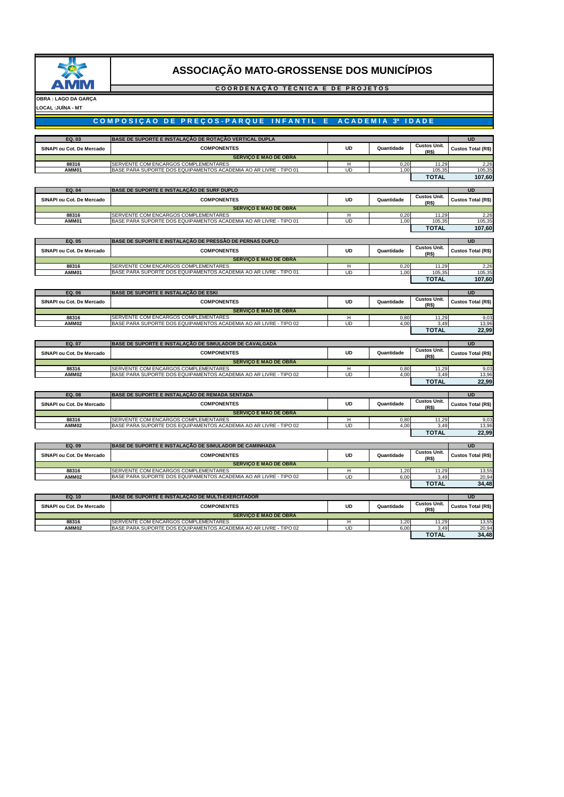

### **C O O R D E N A Ç Ã O T É C N I C A E D E P R O J E T O S**



## **COMPOSIÇÃO DE PREÇOS-PARQUE INFANTIL E ACADEMIA 3ª IDADE**

| EQ. 03                    | BASE DE SUPORTE E INSTALAÇÃO DE ROTAÇÃO VERTICAL DUPLA                                                    |                |              |                                          | <b>UD</b>                 |
|---------------------------|-----------------------------------------------------------------------------------------------------------|----------------|--------------|------------------------------------------|---------------------------|
| SINAPI ou Cot. De Mercado | <b>COMPONENTES</b>                                                                                        | <b>UD</b>      | Quantidade   | <b>Custos Unit.</b><br>(R\$)             | Custos Total (R\$)        |
|                           | <b>SERVIÇO E MAO DE OBRA</b>                                                                              |                |              |                                          |                           |
| 88316                     | SERVENTE COM ENCARGOS COMPLEMENTARES                                                                      | H              | 0,20         | 11,29                                    | 2,26                      |
| AMM01                     | BASE PARA SUPORTE DOS EQUIPAMENTOS ACADEMIA AO AR LIVRE - TIPO 01                                         | <b>UD</b>      | 1.00         | 105,35                                   | 105,35                    |
|                           |                                                                                                           |                |              | <b>TOTAL</b>                             | 107,60                    |
| EQ. 04                    | BASE DE SUPORTE E INSTALAÇÃO DE SURF DUPLO                                                                |                |              |                                          | UD                        |
| SINAPI ou Cot. De Mercado | <b>COMPONENTES</b>                                                                                        | UD             | Quantidade   | <b>Custos Unit.</b><br>(R <sub>5</sub> ) | <b>Custos Total (R\$)</b> |
|                           | <b>SERVIÇO E MAO DE OBRA</b>                                                                              |                |              |                                          |                           |
| 88316                     | SERVENTE COM ENCARGOS COMPLEMENTARES                                                                      | н              | 0,20         | 11,29                                    | 2,26                      |
| AMM01                     | BASE PARA SUPORTE DOS EQUIPAMENTOS ACADEMIA AO AR LIVRE - TIPO 01                                         | UD             | 1.00         | 105,35                                   | 105,35                    |
|                           |                                                                                                           |                |              | <b>TOTAL</b>                             | 107,60                    |
| EQ. 05                    | BASE DE SUPORTE E INSTALAÇÃO DE PRESSÃO DE PERNAS DUPLO                                                   |                |              |                                          | <b>UD</b>                 |
| SINAPI ou Cot. De Mercado | <b>COMPONENTES</b>                                                                                        | <b>UD</b>      | Quantidade   | <b>Custos Unit.</b>                      | Custos Total (R\$)        |
|                           | <b>SERVIÇO E MAO DE OBRA</b>                                                                              |                |              | (R\$)                                    |                           |
| 88316                     | SERVENTE COM ENCARGOS COMPLEMENTARES                                                                      | H              | 0.20         | 11.29                                    | 2,26                      |
| <b>AMM01</b>              | BASE PARA SUPORTE DOS EQUIPAMENTOS ACADEMIA AO AR LIVRE - TIPO 01                                         | UD             | 1,00         | 105,35                                   | 105,35                    |
|                           |                                                                                                           |                |              | <b>TOTAL</b>                             | 107,60                    |
| EQ. 06                    | <b>BASE DE SUPORTE E INSTALAÇÃO DE ESKI</b>                                                               |                |              |                                          | <b>UD</b>                 |
|                           |                                                                                                           |                |              | <b>Custos Unit.</b>                      |                           |
| SINAPI ou Cot. De Mercado | <b>COMPONENTES</b>                                                                                        | UD             | Quantidade   | (R\$)                                    | Custos Total (R\$)        |
|                           | <b>SERVIÇO E MAO DE OBRA</b>                                                                              |                |              |                                          |                           |
| 88316<br>AMM02            | SERVENTE COM ENCARGOS COMPLEMENTARES<br>BASE PARA SUPORTE DOS EQUIPAMENTOS ACADEMIA AO AR LIVRE - TIPO 02 | н<br><b>UD</b> | 0,80<br>4.00 | 11,29<br>3.49                            | 9,03<br>13.96             |
|                           |                                                                                                           |                |              | <b>TOTAL</b>                             | 22,99                     |
|                           |                                                                                                           |                |              |                                          |                           |
|                           |                                                                                                           |                |              |                                          |                           |
| EQ. 07                    | BASE DE SUPORTE E INSTALAÇÃO DE SIMULADOR DE CAVALGADA                                                    |                |              |                                          | <b>UD</b>                 |
| SINAPI ou Cot. De Mercado | <b>COMPONENTES</b>                                                                                        | <b>UD</b>      | Quantidade   | <b>Custos Unit.</b>                      | Custos Total (R\$)        |
|                           | <b>SERVIÇO E MAO DE OBRA</b>                                                                              |                |              | (R <sub>5</sub> )                        |                           |
| 88316                     | SERVENTE COM ENCARGOS COMPLEMENTARES                                                                      | Ή              | 0,80         | 11,29                                    | 9,03                      |
| AMM02                     | BASE PARA SUPORTE DOS EQUIPAMENTOS ACADEMIA AO AR LIVRE - TIPO 02                                         | <b>UD</b>      | 4,00         | 3,49                                     | 13,96                     |
|                           |                                                                                                           |                |              | <b>TOTAL</b>                             | 22,99                     |
| EQ. 08                    | BASE DE SUPORTE E INSTALAÇÃO DE REMADA SENTADA                                                            |                |              |                                          | <b>UD</b>                 |
|                           |                                                                                                           |                |              | <b>Custos Unit.</b>                      |                           |
| SINAPI ou Cot. De Mercado | <b>COMPONENTES</b>                                                                                        | <b>UD</b>      | Quantidade   | (R <sub>5</sub> )                        | Custos Total (R\$)        |
|                           | <b>SERVIÇO E MAO DE OBRA</b>                                                                              |                |              |                                          |                           |
| 88316<br>AMM02            | SERVENTE COM ENCARGOS COMPLEMENTARES<br>BASE PARA SUPORTE DOS EQUIPAMENTOS ACADEMIA AO AR LIVRE - TIPO 02 | н<br>UD        | 0,80<br>4.00 | 11,29<br>3.49                            | 9,03<br>13.96             |
|                           |                                                                                                           |                |              | <b>TOTAL</b>                             | 22,99                     |
|                           |                                                                                                           |                |              |                                          |                           |
| EQ. 09                    | BASE DE SUPORTE E INSTALAÇÃO DE SIMULADOR DE CAMINHADA                                                    |                |              |                                          | <b>UD</b>                 |
| SINAPI ou Cot. De Mercado | <b>COMPONENTES</b>                                                                                        | UD             | Quantidade   | <b>Custos Unit.</b><br>(R\$)             | Custos Total (R\$)        |
|                           | <b>SERVIÇO E MAO DE OBRA</b>                                                                              |                |              |                                          |                           |
| 88316<br>AMM02            | SERVENTE COM ENCARGOS COMPLEMENTARES<br>BASE PARA SUPORTE DOS EQUIPAMENTOS ACADEMIA AO AR LIVRE - TIPO 02 | H<br>UD        | 1.20         | 11.29                                    | 13.55                     |
|                           |                                                                                                           |                | 6,00         | 3,49<br><b>TOTAL</b>                     | 20,94<br>34,48            |
|                           |                                                                                                           |                |              |                                          |                           |
| EQ. 10                    | BASE DE SUPORTE E INSTALAÇÃO DE MULTI-EXERCITADOR                                                         |                |              |                                          | <b>UD</b>                 |
| SINAPI ou Cot. De Mercado | <b>COMPONENTES</b>                                                                                        | <b>UD</b>      | Quantidade   | <b>Custos Unit.</b><br>(R\$)             | <b>Custos Total (R\$)</b> |
|                           | <b>SERVIÇO E MAO DE OBRA</b>                                                                              |                |              |                                          |                           |
| 88316                     | SERVENTE COM ENCARGOS COMPLEMENTARES                                                                      | н              | 1,20         | 11,29                                    | 13,55                     |
| AMM02                     | BASE PARA SUPORTE DOS EQUIPAMENTOS ACADEMIA AO AR LIVRE - TIPO 02                                         | <b>UD</b>      | 6,00         | 3.49<br><b>TOTAL</b>                     | 20,94<br>34,48            |

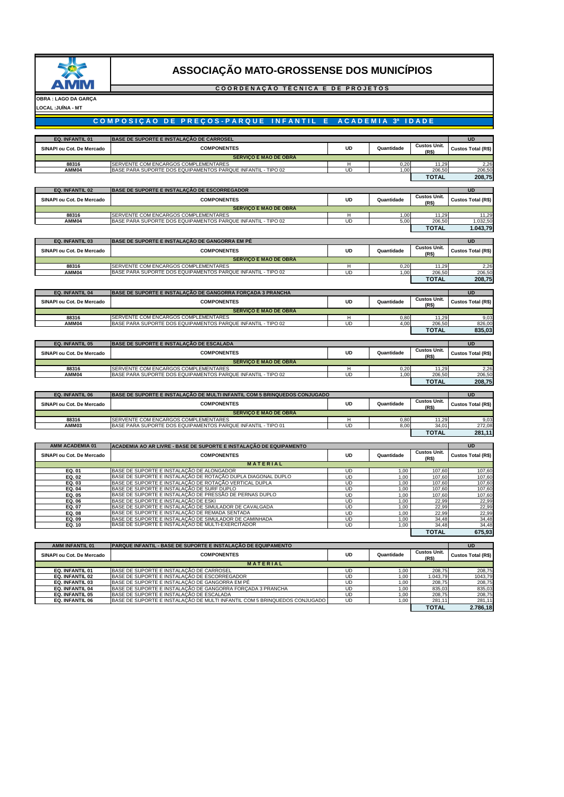

#### **C O O R D E N A Ç Ã O T É C N I C A E D E P R O J E T O S**

**OBRA : LAGO DA GARÇA LOCAL :JUÍNA - MT**

## **COMPOSIÇÃO DE PREÇOS-PARQUE INFANTIL E ACADEMIA 3ª IDADE**

| EQ. INFANTIL 01                    | BASE DE SUPORTE E INSTALAÇÃO DE CARROSEL                                                                     |           |              |                              | <b>UD</b>          |
|------------------------------------|--------------------------------------------------------------------------------------------------------------|-----------|--------------|------------------------------|--------------------|
| SINAPI ou Cot. De Mercado          | <b>COMPONENTES</b>                                                                                           | <b>UD</b> | Quantidade   | <b>Custos Unit.</b>          | Custos Total (R\$) |
|                                    | <b>SERVIÇO E MAO DE OBRA</b>                                                                                 |           |              | (R\$)                        |                    |
| 88316                              | SERVENTE COM ENCARGOS COMPLEMENTARES                                                                         | н         | 0,20         | 11,29                        | 2,26               |
| AMM04                              | BASE PARA SUPORTE DOS EQUIPAMENTOS PARQUE INFANTIL - TIPO 02                                                 | UD        | 1.00         | 206,50                       | 206,50             |
|                                    |                                                                                                              |           |              | <b>TOTAL</b>                 | 208,75             |
|                                    |                                                                                                              |           |              |                              |                    |
| EQ. INFANTIL 02                    | BASE DE SUPORTE E INSTALAÇÃO DE ESCORREGADOR                                                                 |           |              |                              | <b>UD</b>          |
| SINAPI ou Cot. De Mercado          | <b>COMPONENTES</b>                                                                                           | <b>UD</b> | Quantidade   | <b>Custos Unit.</b><br>(R\$) | Custos Total (R\$) |
|                                    | <b>SERVIÇO E MAO DE OBRA</b>                                                                                 |           |              |                              |                    |
| 88316                              | SERVENTE COM ENCARGOS COMPLEMENTARES                                                                         | н         | 1,00         | 11,29                        | 11,29              |
| <b>AMM04</b>                       | BASE PARA SUPORTE DOS EQUIPAMENTOS PARQUE INFANTIL - TIPO 02                                                 | UD        | 5,00         | 206,50                       | 1.032.50           |
|                                    |                                                                                                              |           |              | <b>TOTAL</b>                 | 1.043,79           |
|                                    |                                                                                                              |           |              |                              |                    |
| EQ. INFANTIL 03                    | BASE DE SUPORTE E INSTALAÇÃO DE GANGORRA EM PÉ                                                               |           |              | <b>Custos Unit.</b>          | <b>UD</b>          |
| SINAPI ou Cot. De Mercado          | <b>COMPONENTES</b>                                                                                           | <b>UD</b> | Quantidade   | (R\$)                        | Custos Total (R\$) |
|                                    | <b>SERVIÇO E MAO DE OBRA</b>                                                                                 |           |              |                              |                    |
| 88316                              | SERVENTE COM ENCARGOS COMPLEMENTARES                                                                         | н         | 0,20         | 11,29                        | 2,26               |
| <b>AMM04</b>                       | BASE PARA SUPORTE DOS EQUIPAMENTOS PARQUE INFANTIL - TIPO 02                                                 | UD        | 1,00         | 206,50                       | 206,50             |
|                                    |                                                                                                              |           |              | <b>TOTAL</b>                 | 208,75             |
| EQ. INFANTIL 04                    | BASE DE SUPORTE E INSTALAÇÃO DE GANGORRA FORÇADA 3 PRANCHA                                                   |           |              |                              | <b>UD</b>          |
| SINAPI ou Cot. De Mercado          | <b>COMPONENTES</b>                                                                                           | <b>UD</b> | Quantidade   | <b>Custos Unit.</b>          | Custos Total (R\$) |
|                                    |                                                                                                              |           |              | (R\$)                        |                    |
| 88316                              | <b>SERVIÇO E MAO DE OBRA</b><br>SERVENTE COM ENCARGOS COMPLEMENTARES                                         | н         | 0,80         | 11,29                        | 9,03               |
| AMM04                              | BASE PARA SUPORTE DOS EQUIPAMENTOS PARQUE INFANTIL - TIPO 02                                                 | UD        | 4.00         | 206,50                       | 826,00             |
|                                    |                                                                                                              |           |              | <b>TOTAL</b>                 | 835,03             |
|                                    |                                                                                                              |           |              |                              |                    |
| EQ. INFANTIL 05                    | BASE DE SUPORTE E INSTALAÇÃO DE ESCALADA                                                                     |           |              |                              | <b>UD</b>          |
| SINAPI ou Cot. De Mercado          | <b>COMPONENTES</b>                                                                                           | <b>UD</b> | Quantidade   | <b>Custos Unit.</b><br>(R\$) | Custos Total (R\$) |
|                                    | <b>SERVIÇO E MAO DE OBRA</b>                                                                                 |           |              |                              |                    |
| 88316                              | SERVENTE COM ENCARGOS COMPLEMENTARES                                                                         | н         | 0,20         | 11,29                        | 2,26               |
| AMM04                              | BASE PARA SUPORTE DOS EQUIPAMENTOS PARQUE INFANTIL - TIPO 02                                                 | UD        | 1.00         | 206,50                       | 206,50             |
|                                    |                                                                                                              |           |              | <b>TOTAL</b>                 | 208,75             |
| EQ. INFANTIL 06                    | BASE DE SUPORTE E INSTALAÇÃO DE MULTI INFANTIL COM 5 BRINQUEDOS CONJUGADO                                    |           |              |                              | <b>UD</b>          |
|                                    |                                                                                                              |           |              | <b>Custos Unit.</b>          |                    |
| SINAPI ou Cot. De Mercado          | <b>COMPONENTES</b>                                                                                           | <b>UD</b> | Quantidade   | (R\$)                        | Custos Total (R\$) |
|                                    | <b>SERVIÇO E MAO DE OBRA</b>                                                                                 |           |              |                              |                    |
| 88316<br>AMM03                     | SERVENTE COM ENCARGOS COMPLEMENTARES<br>BASE PARA SUPORTE DOS EQUIPAMENTOS PARQUE INFANTIL - TIPO 01         | н<br>UD   | 0,80<br>8.00 | 11,29<br>34.01               | 9,03<br>272,08     |
|                                    |                                                                                                              |           |              | <b>TOTAL</b>                 | 281,11             |
|                                    |                                                                                                              |           |              |                              |                    |
| <b>AMM ACADEMIA 01</b>             | ACADEMIA AO AR LIVRE - BASE DE SUPORTE E INSTALAÇÃO DE EQUIPAMENTO                                           |           |              |                              | <b>UD</b>          |
| SINAPI ou Cot. De Mercado          | <b>COMPONENTES</b>                                                                                           | <b>UD</b> | Quantidade   | <b>Custos Unit.</b>          | Custos Total (R\$) |
|                                    | <b>MATERIAL</b>                                                                                              |           |              | (R\$)                        |                    |
| EQ. 01                             | BASE DE SUPORTE E INSTALAÇÃO DE ALONGADOR                                                                    | UD        | 1,00         | 107,60                       | 107,60             |
| EQ. 02                             | BASE DE SUPORTE E INSTALAÇÃO DE ROTAÇÃO DUPLA DIAGONAL DUPLO                                                 | UD        | 1,00         | 107,60                       | 107,60             |
| EQ. 03                             | BASE DE SUPORTE E INSTALAÇÃO DE ROTAÇÃO VERTICAL DUPLA                                                       | UD        | 1.00         | 107,60                       | 107,60             |
| EQ. 04<br>EQ. 05                   | BASE DE SUPORTE E INSTALAÇÃO DE SURF DUPLO<br>BASE DE SUPORTE E INSTALAÇÃO DE PRESSÃO DE PERNAS DUPLO        | UD<br>UD  | 1,00<br>1,00 | 107,60<br>107,60             | 107,60<br>107,60   |
| EQ. 06                             | BASE DE SUPORTE E INSTALAÇÃO DE ESKI                                                                         | UD        | 1,00         | 22,99                        | 22,99              |
| EQ. 07                             | BASE DE SUPORTE E INSTALAÇÃO DE SIMULADOR DE CAVALGADA                                                       | UD        | 1,00         | 22,99                        | 22,99              |
| EQ. 08<br>EQ. 09                   | BASE DE SUPORTE E INSTALAÇÃO DE REMADA SENTADA                                                               | UD<br>UD  | 1,00         | 22.99                        | 22.99<br>34,48     |
| EQ. 10                             | BASE DE SUPORTE E INSTALAÇÃO DE SIMULADOR DE CAMINHADA<br>BASE DE SUPORTE E INSTALAÇÃO DE MULTI-EXERCITADOR  | UD        | 1,00<br>1,00 | 34,48<br>34,48               | 34,48              |
|                                    |                                                                                                              |           |              | <b>TOTAL</b>                 | 675,93             |
|                                    |                                                                                                              |           |              |                              |                    |
| AMM INFANTIL 01                    | PARQUE INFANTIL - BASE DE SUPORTE E INSTALAÇÃO DE EQUIPAMENTO                                                |           |              |                              | <b>UD</b>          |
| SINAPI ou Cot. De Mercado          | <b>COMPONENTES</b>                                                                                           | <b>UD</b> | Quantidade   | <b>Custos Unit.</b>          | Custos Total (R\$) |
|                                    | <b>MATERIAL</b>                                                                                              |           |              | (R\$)                        |                    |
| EQ. INFANTIL 01                    | BASE DE SUPORTE E INSTALAÇÃO DE CARROSEL                                                                     | <b>UD</b> | 1,00         | 208.75                       | 208.75             |
| EQ. INFANTIL 02                    | BASE DE SUPORTE E INSTALAÇÃO DE ESCORREGADOR                                                                 | UD        | 1,00         | 1.043,79                     | 1043,79            |
| EQ. INFANTIL 03                    | BASE DE SUPORTE E INSTALAÇÃO DE GANGORRA EM PÉ<br>BASE DE SUPORTE E INSTALAÇÃO DE GANGORRA FORÇADA 3 PRANCHA | UD        | 1,00         | 208,75                       | 208,75             |
| EQ. INFANTIL 04<br>EQ. INFANTIL 05 | BASE DE SUPORTE E INSTALAÇÃO DE ESCALADA                                                                     | UD<br>UD  | 1,00<br>1,00 | 835,03<br>208,75             | 835,03<br>208,75   |
| EQ. INFANTIL 06                    | BASE DE SUPORTE E INSTALAÇÃO DE MULTI INFANTIL COM 5 BRINQUEDOS CONJUGADO                                    | <b>UD</b> | 1,00         | 281,11                       | 281,11             |
|                                    |                                                                                                              |           |              | <b>TOTAL</b>                 | 2.786,18           |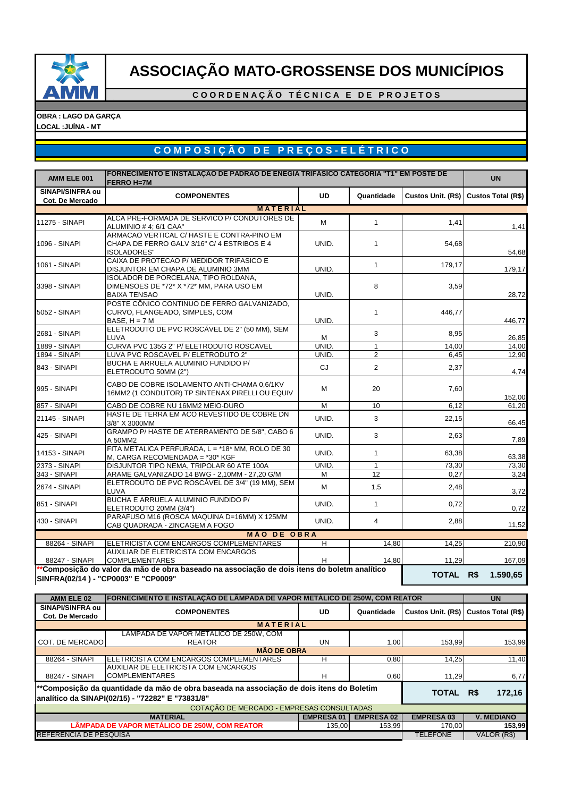

**C O O R D E N A Ç Ã O T É C N I C A E D E P R O J E T O S**

**OBRA : LAGO DA GARÇA LOCAL :JUÍNA - MT**

# **C O M P O S I Ç Ã O D E P R E Ç O S - E L É T R I C O**

| AMM ELE 001                         | FORNECIMENTO E INSTALAÇÃO DE PADRÃO DE ENEGIA TRIFÁSICO CATEGORIA "T1" EM POSTE DE          |                  |                   |                            |                    |  |  |  |
|-------------------------------------|---------------------------------------------------------------------------------------------|------------------|-------------------|----------------------------|--------------------|--|--|--|
|                                     | <b>FERRO H=7M</b>                                                                           |                  |                   |                            | <b>UN</b>          |  |  |  |
| SINAPI/SINFRA ou<br>Cot. De Mercado | <b>COMPONENTES</b>                                                                          | <b>UD</b>        | Quantidade        | Custos Unit. (R\$)         | Custos Total (R\$) |  |  |  |
|                                     | <b>MATERIAL</b>                                                                             |                  |                   |                            |                    |  |  |  |
| 11275 - SINAPI                      | ALCA PRE-FORMADA DE SERVICO P/ CONDUTORES DE                                                | м                | $\mathbf{1}$      | 1,41                       |                    |  |  |  |
|                                     | ALUMINIO # 4; 6/1 CAA"                                                                      |                  |                   |                            | 1,41               |  |  |  |
|                                     | ARMACAO VERTICAL C/ HASTE E CONTRA-PINO EM                                                  |                  |                   |                            |                    |  |  |  |
| 1096 - SINAPI                       | CHAPA DE FERRO GALV 3/16" C/ 4 ESTRIBOS E 4<br><b>ISOLADORES"</b>                           | UNID.            | 1                 | 54,68                      | 54,68              |  |  |  |
|                                     | CAIXA DE PROTECAO P/ MEDIDOR TRIFASICO E                                                    |                  |                   |                            |                    |  |  |  |
| 1061 - SINAPI                       | DISJUNTOR EM CHAPA DE ALUMINIO 3MM                                                          | UNID.            | $\mathbf{1}$      | 179,17                     | 179,17             |  |  |  |
|                                     | ISOLADOR DE PORCELANA, TIPO ROLDANA,                                                        |                  |                   |                            |                    |  |  |  |
| 3398 - SINAPI                       | DIMENSOES DE *72* X *72* MM, PARA USO EM<br><b>BAIXA TENSAO</b>                             | UNID.            | 8                 | 3,59                       | 28,72              |  |  |  |
|                                     | POSTE CÔNICO CONTINUO DE FERRO GALVANIZADO,                                                 |                  |                   |                            |                    |  |  |  |
| 5052 - SINAPI                       | CURVO, FLANGEADO, SIMPLES, COM                                                              |                  | 1                 | 446,77                     |                    |  |  |  |
|                                     | $BASE, H = 7 M$                                                                             | UNID.            |                   |                            | 446,77             |  |  |  |
| 2681 - SINAPI                       | ELETRODUTO DE PVC ROSCÁVEL DE 2" (50 MM), SEM                                               |                  | 3                 | 8,95                       |                    |  |  |  |
| 1889 - SINAPI                       | LUVA<br>CURVA PVC 135G 2" P/ ELETRODUTO ROSCAVEL                                            | м<br>UNID.       | 1                 | 14,00                      | 26,85<br>14,00     |  |  |  |
| <b>1894 - SINAPI</b>                | LUVA PVC ROSCAVEL P/ ELETRODUTO 2"                                                          | UNID.            | $\overline{2}$    | 6,45                       | 12,90              |  |  |  |
|                                     | BUCHA E ARRUELA ALUMINIO FUNDIDO P/                                                         |                  |                   |                            |                    |  |  |  |
| 843 - SINAPI                        | ELETRODUTO 50MM (2")                                                                        | <b>CJ</b>        | $\overline{2}$    | 2,37                       | 4,74               |  |  |  |
|                                     | CABO DE COBRE ISOLAMENTO ANTI-CHAMA 0,6/1KV                                                 |                  |                   |                            |                    |  |  |  |
| 995 - SINAPI                        | 16MM2 (1 CONDUTOR) TP SINTENAX PIRELLI OU EQUIV                                             | м                | 20                | 7,60                       |                    |  |  |  |
| 857 - SINAPI                        | CABO DE COBRE NU 16MM2 MEIO-DURO                                                            | М                | 10                | 6,12                       | 152,00<br>61,20    |  |  |  |
|                                     | HASTE DE TERRA EM ACO REVESTIDO DE COBRE DN                                                 |                  |                   |                            |                    |  |  |  |
| 21145 - SINAPI                      | 3/8" X 3000MM                                                                               | UNID.            | 3                 | 22,15                      | 66,45              |  |  |  |
| 425 - SINAPI                        | GRAMPO P/ HASTE DE ATERRAMENTO DE 5/8", CABO 6                                              | UNID.            | 3                 | 2,63                       |                    |  |  |  |
|                                     | A 50MM2<br>FITA METALICA PERFURADA, L = *18* MM, ROLO DE 30                                 |                  |                   |                            | 7,89               |  |  |  |
| 14153 - SINAPI                      | M, CARGA RECOMENDADA = *30* KGF                                                             | UNID.            | $\mathbf{1}$      | 63,38                      | 63,38              |  |  |  |
| 2373 - SINAPI                       | DISJUNTOR TIPO NEMA, TRIPOLAR 60 ATE 100A                                                   | <b>UNID</b>      | $\mathbf{1}$      | 73,30                      | 73,30              |  |  |  |
| 343 - SINAPI                        | ARAME GALVANIZADO 14 BWG - 2,10MM - 27,20 G/M                                               | М                | 12                | 0,27                       | 3,24               |  |  |  |
| 2674 - SINAPI                       | ELETRODUTO DE PVC ROSCÁVEL DE 3/4" (19 MM), SEM                                             | М                | 1,5               | 2,48                       |                    |  |  |  |
|                                     | LUVA                                                                                        |                  |                   |                            | 3,72               |  |  |  |
| 851 - SINAPI                        | BUCHA E ARRUELA ALUMINIO FUNDIDO P/<br>ELETRODUTO 20MM (3/4")                               | UNID.            | $\mathbf{1}$      | 0,72                       | 0,72               |  |  |  |
|                                     | PARAFUSO M16 (ROSCA MAQUINA D=16MM) X 125MM                                                 |                  |                   |                            |                    |  |  |  |
| 430 - SINAPI                        | CAB QUADRADA - ZINCAGEM A FOGO                                                              | UNID.            | $\overline{4}$    | 2,88                       | 11,52              |  |  |  |
|                                     | <b>MÃO DE OBRA</b>                                                                          |                  |                   |                            |                    |  |  |  |
| 88264 - SINAPI                      | ELETRICISTA COM ENCARGOS COMPLEMENTARES                                                     | Η                | 14,80             | 14,25                      | 210,90             |  |  |  |
| 88247 - SINAPI                      | AUXILIAR DE ELETRICISTA COM ENCARGOS<br><b>COMPLEMENTARES</b>                               | н                | 14,80             | 11,29                      | 167,09             |  |  |  |
|                                     | *Composição do valor da mão de obra baseado na associação de dois itens do boletm analítico |                  |                   |                            |                    |  |  |  |
|                                     | SINFRA(02/14) - "CP0003" E "CP0009"                                                         |                  |                   | TOTAL R\$                  | 1.590,65           |  |  |  |
|                                     |                                                                                             |                  |                   |                            |                    |  |  |  |
| AMM ELE 02                          | FORNECIMENTO E INSTALAÇÃO DE LÃMPADA DE VAPOR METÁLICO DE 250W, COM REATOR                  |                  |                   |                            | <b>UN</b>          |  |  |  |
| <b>SINAPI/SINFRA ou</b>             | <b>COMPONENTES</b>                                                                          | UD               | Quantidade        | Custos Unit. (R\$)         | Custos Total (R\$) |  |  |  |
| Cot. De Mercado                     |                                                                                             |                  |                   |                            |                    |  |  |  |
|                                     | <b>MATERIAL</b><br>LĂMPADA DE VAPOR METALICO DE 250W, COM                                   |                  |                   |                            |                    |  |  |  |
| COT. DE MERCADO                     | REATOR                                                                                      | UN               | 1,00              | 153,99                     | 153,99             |  |  |  |
|                                     | <b>MÃO DE OBRA</b>                                                                          |                  |                   |                            |                    |  |  |  |
| 88264 - SINAPI                      | ELETRICISTA COM ENCARGOS COMPLEMENTARES                                                     | H                | 0,80              | 14,25                      | 11,40              |  |  |  |
| 88247 - SINAPI                      | AUXILIAR DE ELETRICISTA COM ENCARGOS<br><b>COMPLEMENTARES</b>                               |                  | 0,60              |                            |                    |  |  |  |
|                                     |                                                                                             | н                |                   | 11,29                      | 6,77               |  |  |  |
|                                     | **Composição da quantidade da mão de obra baseada na associação de dois itens do Boletim    |                  |                   | TOTAL R\$                  | 172,16             |  |  |  |
|                                     | analítico da SINAPI(02/15) - "72282" E "73831/8"                                            |                  |                   |                            |                    |  |  |  |
|                                     | COTAÇÃO DE MERCADO - EMPRESAS CONSULTADAS<br><b>MATERIAL</b>                                | <b>EMPRESA01</b> | <b>EMPRESA 02</b> |                            | <b>V. MEDIANO</b>  |  |  |  |
|                                     | LÂMPADA DE VAPOR METÁLICO DE 250W, COM REATOR                                               | 135,00           | 153,99            | <b>EMPRESA03</b><br>170,00 | 153,99             |  |  |  |
| REFERÊNCIA DE PESQUISA              |                                                                                             |                  |                   | <b>TELEFONE</b>            | VALOR (R\$)        |  |  |  |
|                                     |                                                                                             |                  |                   |                            |                    |  |  |  |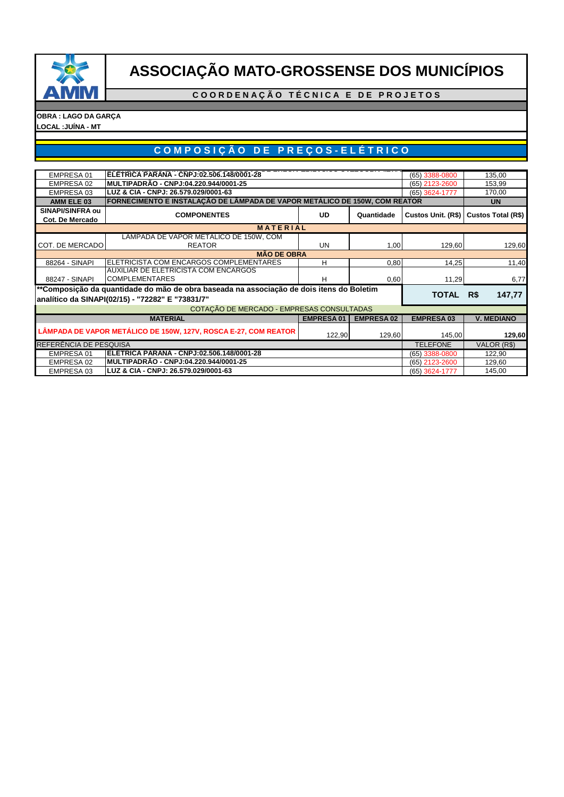

**C O O R D E N A Ç Ã O T É C N I C A E D E P R O J E T O S**

**OBRA : LAGO DA GARÇA LOCAL :JUÍNA - MT**

# **C O M P O S I Ç Ã O D E P R E Ç O S - E L É T R I C O**

| EMPRESA 01              | ELETRICA PARANA - CNPJ:02.506.148/0001-28                                                |                  | (65) 3388-0800    | 135,00            |                                       |
|-------------------------|------------------------------------------------------------------------------------------|------------------|-------------------|-------------------|---------------------------------------|
| EMPRESA 02              | MULTIPADRÃO - CNPJ:04.220.944/0001-25                                                    |                  |                   | (65) 2123-2600    | 153,99                                |
| EMPRESA 03              | LUZ & CIA - CNPJ: 26.579.029/0001-63                                                     |                  |                   | (65) 3624-1777    | 170,00                                |
| AMM ELE 03              | FORNECIMENTO E INSTALAÇÃO DE LÂMPADA DE VAPOR METÁLICO DE 150W, COM REATOR               |                  |                   |                   | <b>UN</b>                             |
| <b>SINAPI/SINFRA ou</b> | <b>COMPONENTES</b>                                                                       | <b>UD</b>        | Quantidade        |                   |                                       |
| Cot. De Mercado         |                                                                                          |                  |                   |                   | Custos Unit. (R\$) Custos Total (R\$) |
|                         | <b>MATERIAL</b>                                                                          |                  |                   |                   |                                       |
|                         | LÂMPADA DE VAPOR METÁLICO DE 150W, COM                                                   |                  |                   |                   |                                       |
| COT. DE MERCADO         | <b>REATOR</b>                                                                            | <b>UN</b>        | 1,00              | 129.60            | 129,60                                |
|                         | <b>MÃO DE OBRA</b>                                                                       |                  |                   |                   |                                       |
| 88264 - SINAPI          | ELETRICISTA COM ENCARGOS COMPLEMENTARES                                                  | н                | 0,80              | 14,25             | 11,40                                 |
|                         | AUXILIAR DE ELETRICISTA COM ENCARGOS                                                     |                  |                   |                   |                                       |
| 88247 - SINAPI          | <b>COMPLEMENTARES</b>                                                                    | н                | 0,60              | 11,29             | 6,77                                  |
|                         | **Composição da quantidade do mão de obra baseada na associação de dois itens do Boletim |                  |                   |                   |                                       |
|                         | analítico da SINAPI(02/15) - "72282" E "73831/7"                                         |                  |                   | <b>TOTAL</b>      | 147,77<br>R\$                         |
|                         | COTAÇÃO DE MERCADO - EMPRESAS CONSULTADAS                                                |                  |                   |                   |                                       |
|                         | <b>MATERIAL</b>                                                                          | <b>EMPRESA01</b> | <b>EMPRESA 02</b> | <b>EMPRESA 03</b> | <b>V. MEDIANO</b>                     |
|                         | LÂMPADA DE VAPOR METÁLICO DE 150W, 127V, ROSCA E-27, COM REATOR                          |                  |                   |                   |                                       |
|                         |                                                                                          | 122,90           | 129,60            | 145,00            | 129,60                                |
| REFERÊNCIA DE PESQUISA  |                                                                                          | <b>TELEFONE</b>  | VALOR (R\$)       |                   |                                       |
| EMPRESA 01              | ELETRICA PARANA - CNPJ:02.506.148/0001-28                                                |                  |                   | (65) 3388-0800    | 122,90                                |
| EMPRESA 02              | MULTIPADRÃO - CNPJ:04.220.944/0001-25                                                    |                  |                   | (65) 2123-2600    | 129,60                                |
| EMPRESA 03              | LUZ & CIA - CNPJ: 26.579.029/0001-63                                                     |                  |                   | (65) 3624-1777    | 145,00                                |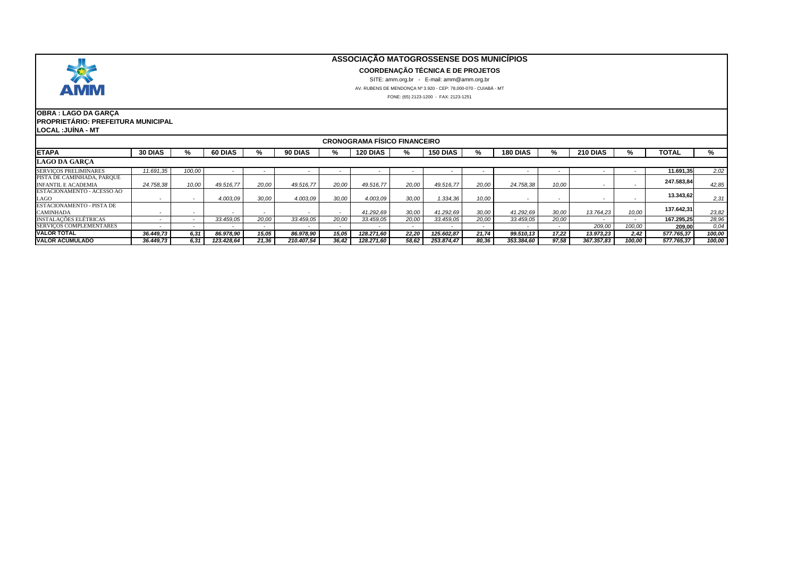

#### **COORDENAÇÃO TÉCNICA E DE PROJETOS**

SITE: amm.org.br - E-mail: amm@amm.org.br

AV. RUBENS DE MENDONÇA Nº 3.920 - CEP: 78,000-070 - CUIABÁ - MT

FONE: (65) 2123-1200 - FAX: 2123-1251

#### **OBRA : LAGO DA GARÇA PROPRIETÁRIO: PREFEITURA MUNICIPAL LOCAL :JUÍNA - MT**

| <b>CRONOGRAMA FISICO FINANCEIRO</b>                      |                |        |            |       |            |       |                 |       |                 |                          |            |       |            |        |            |        |
|----------------------------------------------------------|----------------|--------|------------|-------|------------|-------|-----------------|-------|-----------------|--------------------------|------------|-------|------------|--------|------------|--------|
| <b>ETAPA</b>                                             | <b>30 DIAS</b> | ‰      | 60 DIAS    | ‰     | 90 DIAS    | %     | <b>120 DIAS</b> | %     | <b>150 DIAS</b> | %                        | 180 DIAS   | ℅     | 210 DIAS   | %      | TOTAL      | ℅      |
| <b>LAGO DA GARCA</b>                                     |                |        |            |       |            |       |                 |       |                 |                          |            |       |            |        |            |        |
| <b>SERVICOS PRELIMINARES</b>                             | 11.691.35      | 100,00 |            |       |            |       |                 |       |                 |                          |            |       |            |        | 11.691.35  | 2,02   |
| PISTA DE CAMINHADA, PARQUE<br><b>INFANTIL E ACADEMIA</b> | 24.758.38      | 10,00  | 49.516,77  | 20.00 | 49.516.77  | 20.00 | 49.516,77       | 20.00 | 49.516.77       | 20.00                    | 24.758.38  | 10,00 |            |        | 247.583,84 | 42,85  |
| ESTACIONAMENTO - ACESSO AO<br>LAGO                       |                |        | 4.003.09   | 30,00 | 4.003.09   | 30.00 | 4.003.09        | 30.00 | 1.334,36        | 10,00                    |            | . .   |            |        | 13.343,62  | 2,31   |
| <b>ESTACIONAMENTO - PISTA DE</b><br><b>CAMINHADA</b>     |                |        |            |       |            |       | 41.292,69       | 30,00 | 41.292.69       | 30,00                    | 41.292.69  | 30.00 | 13.764.23  | 10.00  | 137.642.31 | 23,82  |
| <b>INSTALAÇÕES ELÉTRICAS</b>                             |                |        | 33,459.05  | 20.00 | 33.459.05  | 20.00 | 33.459,05       | 20,00 | 33.459.05       | 20,00                    | 33.459,05  | 20.00 |            |        | 167.295.25 | 28,96  |
| <b>SERVICOS COMPLEMENTARES</b>                           |                |        |            |       |            |       |                 |       |                 | $\overline{\phantom{a}}$ |            |       | 209,00     | 100,00 | 209,00     | 0,04   |
| <b>VALOR TOTAL</b>                                       | 36.449.73      | 6,31   | 86.978,90  | 15,05 | 86.978,90  | 15.05 | 128.271,60      | 22,20 | 125.602,87      | 21,74                    | 99.510,13  | 17,22 | 13.973,23  | 2.42   | 577.765,37 | 100,00 |
| <b>VALOR ACUMULADO</b>                                   | 36.449.73      | 6.31   | 123.428.64 | 21,36 | 210.407.54 | 36.42 | 128.271.60      | 58,62 | 253.874,47      | 80,36                    | 353.384,60 | 97,58 | 367.357.83 | 100.00 | 577.765.37 | 100,00 |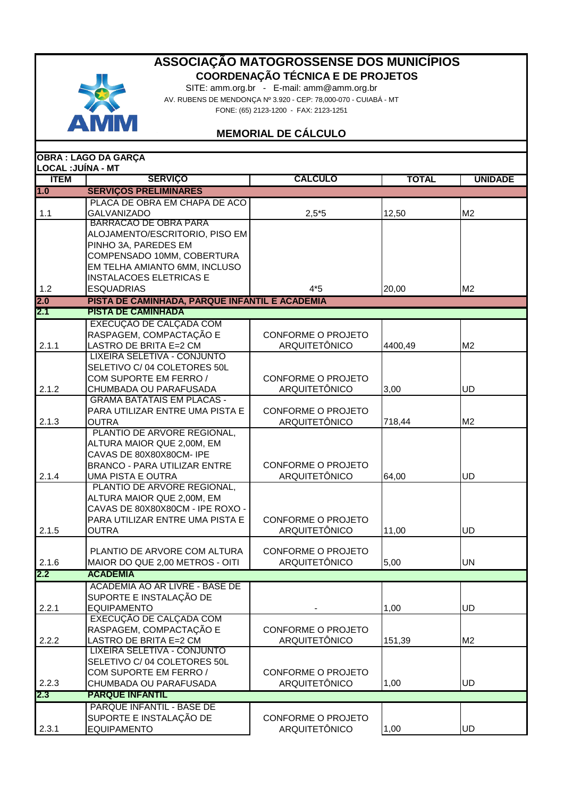

SITE: amm.org.br - E-mail: amm@amm.org.br AV. RUBENS DE MENDONÇA Nº 3.920 - CEP: 78,000-070 - CUIABÁ - MT FONE: (65) 2123-1200 - FAX: 2123-1251

# **MEMORIAL DE CÁLCULO**

| <b>LOCAL: JUÍNA - MT</b> | <b>OBRA: LAGO DA GARÇA</b>                                |                           |              |                |
|--------------------------|-----------------------------------------------------------|---------------------------|--------------|----------------|
| <b>İTEM</b>              | <b>SERVIÇO</b>                                            | <b>CALCULO</b>            | <b>TOTAL</b> | <b>UNIDADE</b> |
| 1.0                      | <b>SERVIÇOS PRELIMINARES</b>                              |                           |              |                |
|                          | PLACA DE OBRA EM CHAPA DE ACO                             |                           |              |                |
| 1.1                      | <b>GALVANIZADO</b>                                        | $2,5*5$                   | 12,50        | M <sub>2</sub> |
|                          | <b>BARRACAO DE OBRA PARA</b>                              |                           |              |                |
|                          | ALOJAMENTO/ESCRITORIO, PISO EM                            |                           |              |                |
|                          | PINHO 3A, PAREDES EM                                      |                           |              |                |
|                          | COMPENSADO 10MM, COBERTURA                                |                           |              |                |
|                          | EM TELHA AMIANTO 6MM, INCLUSO                             |                           |              |                |
|                          | <b>INSTALACOES ELETRICAS E</b>                            |                           |              |                |
| 1.2                      | <b>ESQUADRIAS</b>                                         | $4*5$                     | 20,00        | M <sub>2</sub> |
| 2.0                      | PISTA DE CAMINHADA, PARQUE INFANTIL E ACADEMIA            |                           |              |                |
| 2.1                      | <b>PISTA DE CAMINHADA</b>                                 |                           |              |                |
|                          | EXECUÇÃO DE CALÇADA COM                                   |                           |              |                |
|                          | RASPAGEM, COMPACTAÇÃO E                                   | <b>CONFORME O PROJETO</b> |              |                |
| 2.1.1                    | LASTRO DE BRITA E=2 CM                                    | <b>ARQUITETÔNICO</b>      | 4400,49      | M <sub>2</sub> |
|                          | LIXEIRA SELETIVA - CONJUNTO                               |                           |              |                |
|                          | SELETIVO C/04 COLETORES 50L                               |                           |              |                |
|                          | COM SUPORTE EM FERRO /                                    | <b>CONFORME O PROJETO</b> |              |                |
| 2.1.2                    | CHUMBADA OU PARAFUSADA                                    | ARQUITETÔNICO             | 3,00         | UD             |
|                          | <b>GRAMA BATATAIS EM PLACAS -</b>                         |                           |              |                |
|                          | PARA UTILIZAR ENTRE UMA PISTA E                           | CONFORME O PROJETO        |              |                |
| 2.1.3                    | <b>OUTRA</b>                                              | ARQUITETÔNICO             | 718,44       | M <sub>2</sub> |
|                          | PLANTIO DE ARVORE REGIONAL,<br>ALTURA MAIOR QUE 2,00M, EM |                           |              |                |
|                          | CAVAS DE 80X80X80CM- IPE                                  |                           |              |                |
|                          | <b>BRANCO - PARA UTILIZAR ENTRE</b>                       | <b>CONFORME O PROJETO</b> |              |                |
| 2.1.4                    | UMA PISTA E OUTRA                                         | ARQUITETÔNICO             | 64,00        | UD             |
|                          | PLANTIO DE ARVORE REGIONAL,                               |                           |              |                |
|                          | ALTURA MAIOR QUE 2,00M, EM                                |                           |              |                |
|                          | CAVAS DE 80X80X80CM - IPE ROXO -                          |                           |              |                |
|                          | PARA UTILIZAR ENTRE UMA PISTA E                           | <b>CONFORME O PROJETO</b> |              |                |
| 2.1.5                    | <b>OUTRA</b>                                              | ARQUITETÔNICO             | 11,00        | <b>UD</b>      |
|                          |                                                           |                           |              |                |
|                          | PLANTIO DE ARVORE COM ALTURA                              | <b>CONFORME O PROJETO</b> |              |                |
| 2.1.6                    | MAIOR DO QUE 2,00 METROS - OITI                           | ARQUITETÔNICO             | 5,00         | UN             |
| 2.2                      | <b>ACADEMIA</b>                                           |                           |              |                |
|                          | ACADEMIA AO AR LIVRE - BASE DE                            |                           |              |                |
|                          | SUPORTE E INSTALAÇÃO DE                                   |                           |              |                |
| 2.2.1                    | <b>EQUIPAMENTO</b>                                        |                           | 1,00         | UD             |
|                          | EXECUÇÃO DE CALÇADA COM                                   |                           |              |                |
|                          | RASPAGEM, COMPACTAÇÃO E                                   | <b>CONFORME O PROJETO</b> |              |                |
| 2.2.2                    | LASTRO DE BRITA E=2 CM                                    | <b>ARQUITETÔNICO</b>      | 151,39       | M <sub>2</sub> |
|                          | LIXEIRA SELETIVA - CONJUNTO                               |                           |              |                |
|                          | SELETIVO C/04 COLETORES 50L                               |                           |              |                |
|                          | COM SUPORTE EM FERRO /                                    | CONFORME O PROJETO        |              |                |
| 2.2.3<br>2.3             | CHUMBADA OU PARAFUSADA<br><b>PARQUE INFANTIL</b>          | ARQUITETÔNICO             | 1,00         | UD             |
|                          |                                                           |                           |              |                |
|                          | PARQUE INFANTIL - BASE DE                                 | CONFORME O PROJETO        |              |                |
| 2.3.1                    | SUPORTE E INSTALAÇÃO DE<br><b>EQUIPAMENTO</b>             | ARQUITETÔNICO             |              | UD             |
|                          |                                                           |                           | 1,00         |                |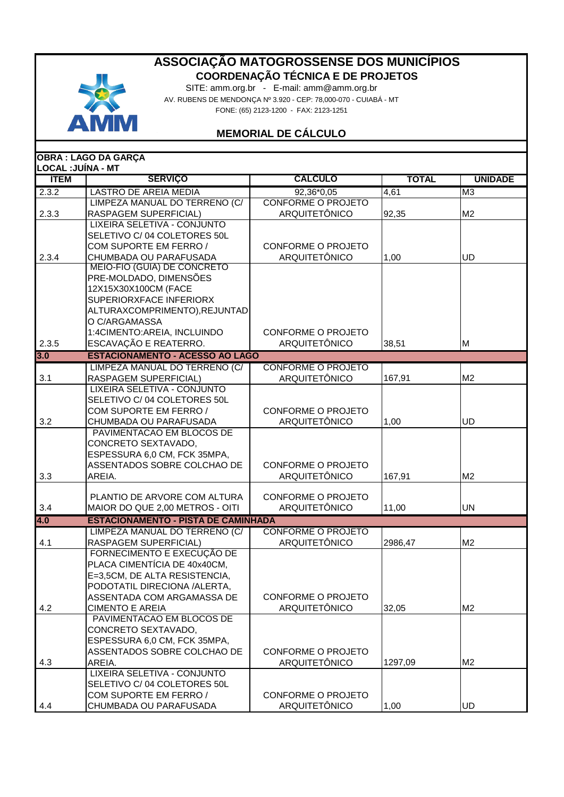

SITE: amm.org.br - E-mail: amm@amm.org.br AV. RUBENS DE MENDONÇA Nº 3.920 - CEP: 78,000-070 - CUIABÁ - MT FONE: (65) 2123-1200 - FAX: 2123-1251

## **MEMORIAL DE CÁLCULO**

| <b>OBRA: LAGO DA GARÇA</b> |                                                      |                           |              |                |  |  |  |
|----------------------------|------------------------------------------------------|---------------------------|--------------|----------------|--|--|--|
| <b>LOCAL: JUÍNA - MT</b>   |                                                      |                           |              |                |  |  |  |
| <b>İTEM</b>                | <b>SERVIÇO</b>                                       | <b>CALCULO</b>            | <b>TOTAL</b> | <b>UNIDADE</b> |  |  |  |
| 2.3.2                      | <b>LASTRO DE AREIA MEDIA</b>                         | 92,36*0,05                | 4,61         | M <sub>3</sub> |  |  |  |
|                            | LIMPEZA MANUAL DO TERRENO (C/                        | <b>CONFORME O PROJETO</b> |              |                |  |  |  |
| 2.3.3                      | RASPAGEM SUPERFICIAL)                                | <b>ARQUITETÔNICO</b>      | 92,35        | M <sub>2</sub> |  |  |  |
|                            | LIXEIRA SELETIVA - CONJUNTO                          |                           |              |                |  |  |  |
|                            | SELETIVO C/04 COLETORES 50L                          |                           |              |                |  |  |  |
|                            | COM SUPORTE EM FERRO /                               | <b>CONFORME O PROJETO</b> |              |                |  |  |  |
| 2.3.4                      | CHUMBADA OU PARAFUSADA                               | ARQUITETÔNICO             | 1,00         | UD             |  |  |  |
|                            | MEIO-FIO (GUIA) DE CONCRETO                          |                           |              |                |  |  |  |
|                            | PRE-MOLDADO, DIMENSÕES                               |                           |              |                |  |  |  |
|                            | 12X15X30X100CM (FACE                                 |                           |              |                |  |  |  |
|                            | SUPERIORXFACE INFERIORX                              |                           |              |                |  |  |  |
|                            | ALTURAXCOMPRIMENTO), REJUNTAD                        |                           |              |                |  |  |  |
|                            | O C/ARGAMASSA<br>1:4CIMENTO:AREIA, INCLUINDO         | <b>CONFORME O PROJETO</b> |              |                |  |  |  |
| 2.3.5                      | ESCAVAÇÃO E REATERRO.                                | <b>ARQUITETÔNICO</b>      |              | M              |  |  |  |
|                            |                                                      |                           | 38,51        |                |  |  |  |
| 3.0                        | <b>ESTACIONAMENTO - ACESSO AO LAGO</b>               |                           |              |                |  |  |  |
|                            | LIMPEZA MANUAL DO TERRENO (C/                        | <b>CONFORME O PROJETO</b> |              |                |  |  |  |
| 3.1                        | RASPAGEM SUPERFICIAL)<br>LIXEIRA SELETIVA - CONJUNTO | ARQUITETÔNICO             | 167,91       | M <sub>2</sub> |  |  |  |
|                            | SELETIVO C/04 COLETORES 50L                          |                           |              |                |  |  |  |
|                            | COM SUPORTE EM FERRO /                               | <b>CONFORME O PROJETO</b> |              |                |  |  |  |
| 3.2                        | CHUMBADA OU PARAFUSADA                               | ARQUITETÔNICO             | 1,00         | <b>UD</b>      |  |  |  |
|                            | PAVIMENTACAO EM BLOCOS DE                            |                           |              |                |  |  |  |
|                            | CONCRETO SEXTAVADO,                                  |                           |              |                |  |  |  |
|                            | ESPESSURA 6,0 CM, FCK 35MPA,                         |                           |              |                |  |  |  |
|                            | ASSENTADOS SOBRE COLCHAO DE                          | <b>CONFORME O PROJETO</b> |              |                |  |  |  |
| 3.3                        | AREIA.                                               | ARQUITETÔNICO             | 167,91       | M <sub>2</sub> |  |  |  |
|                            |                                                      |                           |              |                |  |  |  |
|                            | PLANTIO DE ARVORE COM ALTURA                         | <b>CONFORME O PROJETO</b> |              |                |  |  |  |
| 3.4                        | MAIOR DO QUE 2,00 METROS - OITI                      | ARQUITETÔNICO             | 11,00        | <b>UN</b>      |  |  |  |
| 4.0                        | <b>ESTACIONAMENTO - PISTA DE CAMINHADA</b>           |                           |              |                |  |  |  |
|                            | LIMPEZA MANUAL DO TERRENO (C/                        | <b>CONFORME O PROJETO</b> |              |                |  |  |  |
| 4.1                        | RASPAGEM SUPERFICIAL)                                | ARQUITETÔNICO             | 2986,47      | M <sub>2</sub> |  |  |  |
|                            | FORNECIMENTO E EXECUÇÃO DE                           |                           |              |                |  |  |  |
|                            | PLACA CIMENTÍCIA DE 40x40CM,                         |                           |              |                |  |  |  |
|                            | E=3,5CM, DE ALTA RESISTENCIA,                        |                           |              |                |  |  |  |
|                            | PODOTATIL DIRECIONA /ALERTA,                         |                           |              |                |  |  |  |
|                            | ASSENTADA COM ARGAMASSA DE                           | CONFORME O PROJETO        |              |                |  |  |  |
| 4.2                        | <b>CIMENTO E AREIA</b>                               | ARQUITETÔNICO             | 32,05        | M <sub>2</sub> |  |  |  |
|                            | PAVIMENTACAO EM BLOCOS DE                            |                           |              |                |  |  |  |
|                            | CONCRETO SEXTAVADO.                                  |                           |              |                |  |  |  |
|                            | ESPESSURA 6,0 CM, FCK 35MPA,                         |                           |              |                |  |  |  |
|                            | ASSENTADOS SOBRE COLCHAO DE                          | CONFORME O PROJETO        |              |                |  |  |  |
| 4.3                        | AREIA.                                               | ARQUITETÔNICO             | 1297,09      | M <sub>2</sub> |  |  |  |
|                            | LIXEIRA SELETIVA - CONJUNTO                          |                           |              |                |  |  |  |
|                            | SELETIVO C/04 COLETORES 50L                          |                           |              |                |  |  |  |
|                            | COM SUPORTE EM FERRO /                               | <b>CONFORME O PROJETO</b> |              |                |  |  |  |
| 4.4                        | CHUMBADA OU PARAFUSADA                               | <b>ARQUITETÔNICO</b>      | 1,00         | UD             |  |  |  |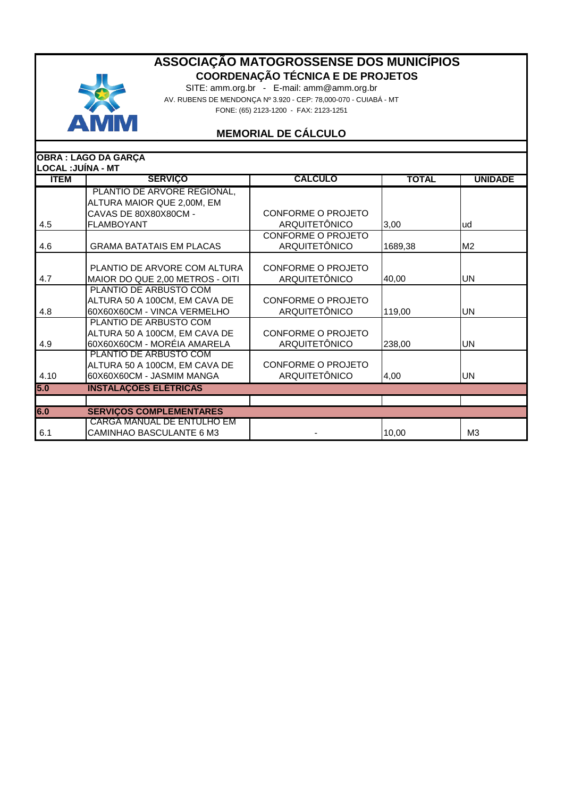

SITE: amm.org.br - E-mail: amm@amm.org.br AV. RUBENS DE MENDONÇA Nº 3.920 - CEP: 78,000-070 - CUIABÁ - MT FONE: (65) 2123-1200 - FAX: 2123-1251

# **MEMORIAL DE CÁLCULO**

|                    | <b>OBRA : LAGO DA GARÇA</b>     |                           |              |                |
|--------------------|---------------------------------|---------------------------|--------------|----------------|
| LOCAL : JUÍNA - MT |                                 |                           |              |                |
| <b>İTEM</b>        | <b>SERVIÇO</b>                  | <b>CALCULO</b>            | <b>TOTAL</b> | <b>UNIDADE</b> |
|                    | PLANTIO DE ARVORE REGIONAL,     |                           |              |                |
|                    | ALTURA MAIOR QUE 2,00M, EM      |                           |              |                |
|                    | CAVAS DE 80X80X80CM -           | CONFORME O PROJETO        |              |                |
| 4.5                | <b>FLAMBOYANT</b>               | <b>ARQUITETÔNICO</b>      | 3,00         | lud            |
|                    |                                 | <b>CONFORME O PROJETO</b> |              |                |
| 4.6                | <b>GRAMA BATATAIS EM PLACAS</b> | <b>ARQUITETÔNICO</b>      | 1689,38      | M <sub>2</sub> |
|                    |                                 |                           |              |                |
|                    | PLANTIO DE ARVORE COM ALTURA    | CONFORME O PROJETO        |              |                |
| 4.7                | MAIOR DO QUE 2,00 METROS - OITI | <b>ARQUITETÔNICO</b>      | 40,00        | <b>UN</b>      |
|                    | PLANTIO DE ARBUSTO COM          |                           |              |                |
|                    | ALTURA 50 A 100CM, EM CAVA DE   | <b>CONFORME O PROJETO</b> |              |                |
| 4.8                | 60X60X60CM - VINCA VERMELHO     | <b>ARQUITETÔNICO</b>      | 119,00       | IUN.           |
|                    | PLANTIO DE ARBUSTO COM          |                           |              |                |
|                    | ALTURA 50 A 100CM, EM CAVA DE   | CONFORME O PROJETO        |              |                |
| 4.9                | 60X60X60CM - MORÉIA AMARELA     | <b>ARQUITETÔNICO</b>      | 238,00       | UN             |
|                    | PLANTIO DE ARBUSTO COM          |                           |              |                |
|                    | ALTURA 50 A 100CM, EM CAVA DE   | CONFORME O PROJETO        |              |                |
| 4.10               | 60X60X60CM - JASMIM MANGA       | <b>ARQUITETÔNICO</b>      | 4,00         | IUN.           |
| 5.0                | <b>INSTALAÇOES ELÉTRICAS</b>    |                           |              |                |
|                    |                                 |                           |              |                |
| 6.0                | <b>SERVIÇOS COMPLEMENTARES</b>  |                           |              |                |
|                    | CARGA MANUAL DE ENTULHO EM      |                           |              |                |
| 6.1                | CAMINHAO BASCULANTE 6 M3        |                           | 10,00        | M <sub>3</sub> |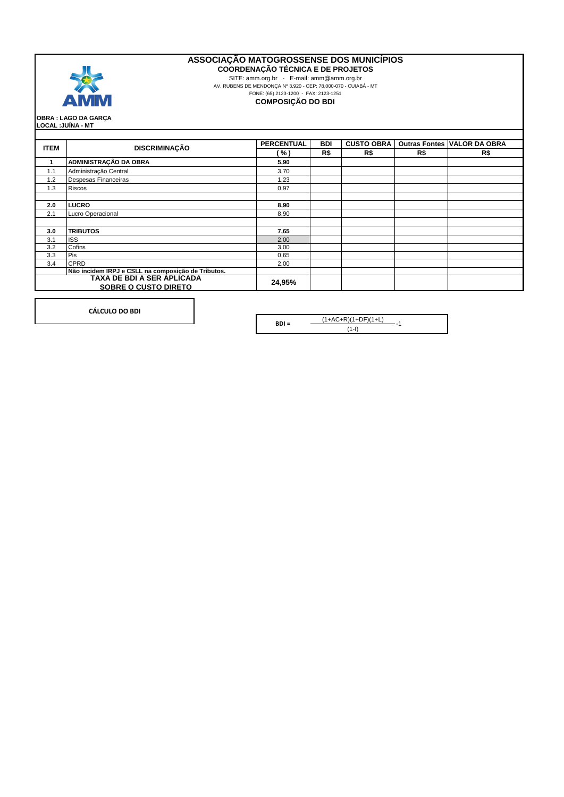

**COORDENAÇÃO TÉCNICA E DE PROJETOS**

SITE: amm.org.br - E-mail: amm@amm.org.br AV. RUBENS DE MENDONÇA Nº 3.920 - CEP: 78,000-070 - CUIABÁ - MT FONE: (65) 2123-1200 - FAX: 2123-1251

**COMPOSIÇÃO DO BDI**

**LOCAL :JUÍNA - MT OBRA : LAGO DA GARÇA**

|                                                                     | <b>DISCRIMINAÇÃO</b>                               | <b>PERCENTUAL</b> | <b>BDI</b> | <b>CUSTO OBRA</b> |     | <b>Outras Fontes VALOR DA OBRA</b> |
|---------------------------------------------------------------------|----------------------------------------------------|-------------------|------------|-------------------|-----|------------------------------------|
| <b>ITEM</b>                                                         |                                                    | (%)               | R\$        | R\$               | R\$ | R\$                                |
| 1                                                                   | ADMINISTRAÇÃO DA OBRA                              | 5,90              |            |                   |     |                                    |
| 1.1                                                                 | Administração Central                              | 3,70              |            |                   |     |                                    |
| 1.2                                                                 | Despesas Financeiras                               | 1,23              |            |                   |     |                                    |
| 1.3                                                                 | <b>Riscos</b>                                      | 0,97              |            |                   |     |                                    |
|                                                                     |                                                    |                   |            |                   |     |                                    |
| 2.0                                                                 | <b>LUCRO</b>                                       | 8,90              |            |                   |     |                                    |
| 2.1                                                                 | Lucro Operacional                                  | 8,90              |            |                   |     |                                    |
|                                                                     |                                                    |                   |            |                   |     |                                    |
| 3.0                                                                 | <b>TRIBUTOS</b>                                    | 7,65              |            |                   |     |                                    |
| 3.1                                                                 | <b>ISS</b>                                         | 2,00              |            |                   |     |                                    |
| 3.2                                                                 | Cofins                                             | 3,00              |            |                   |     |                                    |
| 3.3                                                                 | Pis                                                | 0,65              |            |                   |     |                                    |
| 3.4                                                                 | <b>CPRD</b>                                        | 2,00              |            |                   |     |                                    |
|                                                                     | Não incidem IRPJ e CSLL na composição de Tributos. |                   |            |                   |     |                                    |
| TAXA DE BDI A SER ÁPLICADA<br>24,95%<br><b>SOBRE O CUSTO DIRETO</b> |                                                    |                   |            |                   |     |                                    |

**CÁLCULO DO BDI**

**BDI =**  $\frac{(1+A C+R)(1+DF)(1+L)}{(1+R)(1+DF)}$ -1 (1-I)